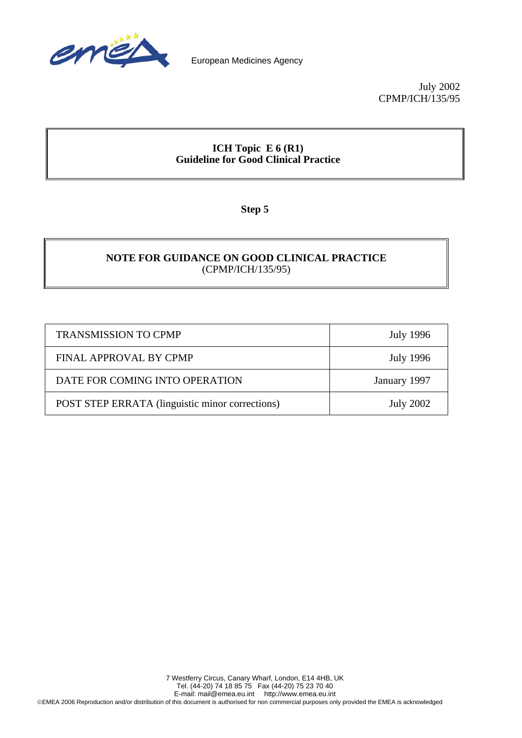

European Medicines Agency

July 2002 CPMP/ICH/135/95

# **ICH Topic E 6 (R1) Guideline for Good Clinical Practice**

# **Step 5**

# **NOTE FOR GUIDANCE ON GOOD CLINICAL PRACTICE**  (CPMP/ICH/135/95)

| <b>TRANSMISSION TO CPMP</b>                     | <b>July 1996</b> |
|-------------------------------------------------|------------------|
| FINAL APPROVAL BY CPMP                          | <b>July 1996</b> |
| DATE FOR COMING INTO OPERATION                  | January 1997     |
| POST STEP ERRATA (linguistic minor corrections) | <b>July 2002</b> |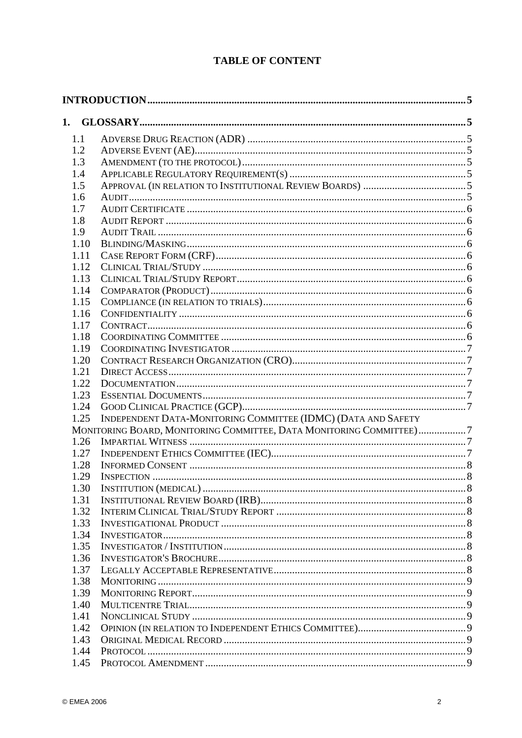# **TABLE OF CONTENT**

| 1.   |                                                                     |  |
|------|---------------------------------------------------------------------|--|
| 1.1  |                                                                     |  |
| 1.2  |                                                                     |  |
| 1.3  |                                                                     |  |
| 1.4  |                                                                     |  |
| 1.5  |                                                                     |  |
| 1.6  |                                                                     |  |
| 1.7  |                                                                     |  |
| 1.8  |                                                                     |  |
| 1.9  |                                                                     |  |
| 1.10 |                                                                     |  |
| 1.11 |                                                                     |  |
| 1.12 |                                                                     |  |
| 1.13 |                                                                     |  |
| 1.14 |                                                                     |  |
| 1.15 |                                                                     |  |
| 1.16 |                                                                     |  |
| 1.17 |                                                                     |  |
| 1.18 |                                                                     |  |
| 1.19 |                                                                     |  |
| 1.20 |                                                                     |  |
| 1.21 |                                                                     |  |
| 1.22 |                                                                     |  |
| 1.23 |                                                                     |  |
| 1.24 |                                                                     |  |
| 1.25 | INDEPENDENT DATA-MONITORING COMMITTEE (IDMC) (DATA AND SAFETY       |  |
|      | MONITORING BOARD, MONITORING COMMITTEE, DATA MONITORING COMMITTEE)7 |  |
| 1.26 |                                                                     |  |
| 1.27 |                                                                     |  |
| 1.28 |                                                                     |  |
| 1.29 |                                                                     |  |
| 1.30 |                                                                     |  |
| 1.31 |                                                                     |  |
| 1.32 |                                                                     |  |
| 1.33 |                                                                     |  |
| 1.34 |                                                                     |  |
| 1.35 |                                                                     |  |
| 1.36 |                                                                     |  |
| 1.37 |                                                                     |  |
| 1.38 |                                                                     |  |
| 1.39 |                                                                     |  |
| 1.40 |                                                                     |  |
| 1.41 |                                                                     |  |
| 1.42 |                                                                     |  |
| 1.43 |                                                                     |  |
| 1.44 |                                                                     |  |
| 1.45 |                                                                     |  |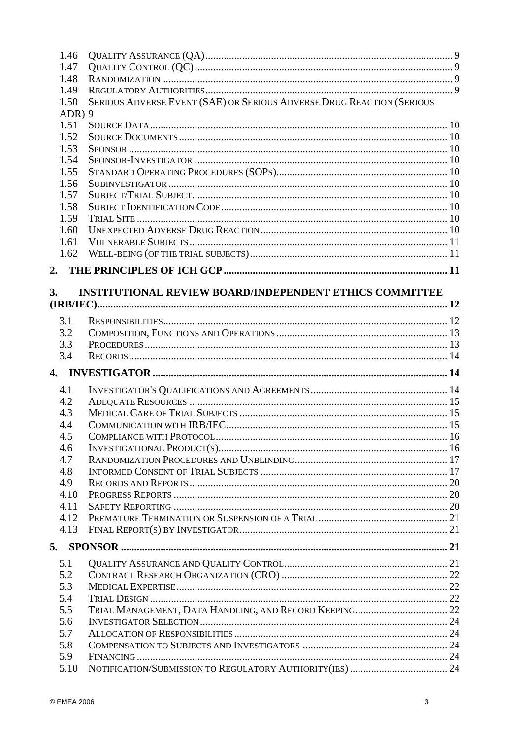| 1.46         |                                                                       |  |
|--------------|-----------------------------------------------------------------------|--|
| 1.47         |                                                                       |  |
| 1.48         |                                                                       |  |
| 1.49         |                                                                       |  |
| 1.50         | SERIOUS ADVERSE EVENT (SAE) OR SERIOUS ADVERSE DRUG REACTION (SERIOUS |  |
| ADR) 9       |                                                                       |  |
| 1.51         |                                                                       |  |
| 1.52         |                                                                       |  |
| 1.53         |                                                                       |  |
| 1.54         |                                                                       |  |
| 1.55         |                                                                       |  |
| 1.56         |                                                                       |  |
| 1.57         |                                                                       |  |
| 1.58         |                                                                       |  |
| 1.59         |                                                                       |  |
| 1.60         |                                                                       |  |
| 1.61         |                                                                       |  |
| 1.62         |                                                                       |  |
| 2.           |                                                                       |  |
|              |                                                                       |  |
| 3.           | <b>INSTITUTIONAL REVIEW BOARD/INDEPENDENT ETHICS COMMITTEE</b>        |  |
|              |                                                                       |  |
|              |                                                                       |  |
| 3.1          |                                                                       |  |
| 3.2          |                                                                       |  |
| 3.3          |                                                                       |  |
| 3.4          |                                                                       |  |
|              |                                                                       |  |
|              |                                                                       |  |
|              |                                                                       |  |
| 4.1          |                                                                       |  |
| 4.2          |                                                                       |  |
| 4.3          |                                                                       |  |
| 4.4          |                                                                       |  |
| 4.5          |                                                                       |  |
| 4.6          |                                                                       |  |
| 4.7          |                                                                       |  |
| 4.8          |                                                                       |  |
| 4.9          |                                                                       |  |
| 4.10<br>4.11 |                                                                       |  |
| 4.12         |                                                                       |  |
| 4.13         |                                                                       |  |
|              |                                                                       |  |
| 5.           |                                                                       |  |
| 5.1          |                                                                       |  |
| 5.2          |                                                                       |  |
| 5.3          |                                                                       |  |
| 5.4          |                                                                       |  |
| 5.5          |                                                                       |  |
| 5.6          |                                                                       |  |
| 5.7          |                                                                       |  |
| 5.8          |                                                                       |  |
| 5.9<br>5.10  |                                                                       |  |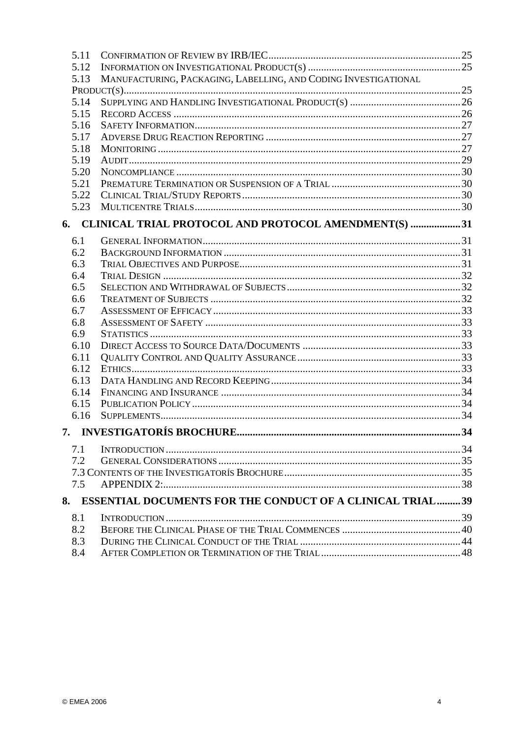| 5.11 |                                                                    |  |
|------|--------------------------------------------------------------------|--|
| 5.12 |                                                                    |  |
| 5.13 | MANUFACTURING, PACKAGING, LABELLING, AND CODING INVESTIGATIONAL    |  |
|      |                                                                    |  |
| 5.14 |                                                                    |  |
| 5.15 |                                                                    |  |
| 5.16 |                                                                    |  |
| 5.17 |                                                                    |  |
| 5.18 |                                                                    |  |
| 5.19 |                                                                    |  |
| 5.20 |                                                                    |  |
| 5.21 |                                                                    |  |
| 5.22 |                                                                    |  |
| 5.23 |                                                                    |  |
|      | 6. CLINICAL TRIAL PROTOCOL AND PROTOCOL AMENDMENT(S) 31            |  |
| 6.1  |                                                                    |  |
| 6.2  |                                                                    |  |
| 6.3  |                                                                    |  |
| 6.4  |                                                                    |  |
| 6.5  |                                                                    |  |
| 6.6  |                                                                    |  |
| 6.7  |                                                                    |  |
| 6.8  |                                                                    |  |
| 6.9  |                                                                    |  |
| 6.10 |                                                                    |  |
| 6.11 |                                                                    |  |
| 6.12 |                                                                    |  |
| 6.13 |                                                                    |  |
| 6.14 |                                                                    |  |
| 6.15 |                                                                    |  |
| 6.16 |                                                                    |  |
|      |                                                                    |  |
| 7.1  |                                                                    |  |
| 7.2  |                                                                    |  |
|      |                                                                    |  |
| 7.5  |                                                                    |  |
| 8.   | <b>ESSENTIAL DOCUMENTS FOR THE CONDUCT OF A CLINICAL TRIAL  39</b> |  |
| 8.1  |                                                                    |  |
| 8.2  |                                                                    |  |
| 8.3  |                                                                    |  |
| 8.4  |                                                                    |  |
|      |                                                                    |  |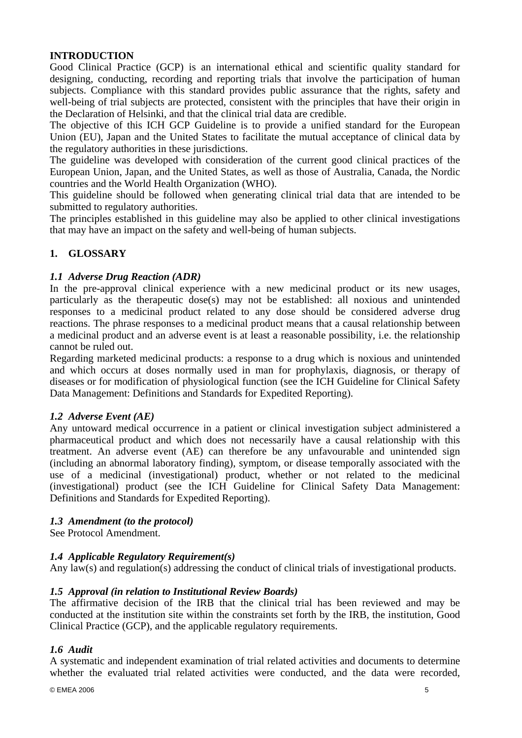# <span id="page-4-0"></span>**INTRODUCTION**

Good Clinical Practice (GCP) is an international ethical and scientific quality standard for designing, conducting, recording and reporting trials that involve the participation of human subjects. Compliance with this standard provides public assurance that the rights, safety and well-being of trial subjects are protected, consistent with the principles that have their origin in the Declaration of Helsinki, and that the clinical trial data are credible.

The objective of this ICH GCP Guideline is to provide a unified standard for the European Union (EU), Japan and the United States to facilitate the mutual acceptance of clinical data by the regulatory authorities in these jurisdictions.

The guideline was developed with consideration of the current good clinical practices of the European Union, Japan, and the United States, as well as those of Australia, Canada, the Nordic countries and the World Health Organization (WHO).

This guideline should be followed when generating clinical trial data that are intended to be submitted to regulatory authorities.

The principles established in this guideline may also be applied to other clinical investigations that may have an impact on the safety and well-being of human subjects.

# **1. GLOSSARY**

## *1.1 Adverse Drug Reaction (ADR)*

In the pre-approval clinical experience with a new medicinal product or its new usages, particularly as the therapeutic dose(s) may not be established: all noxious and unintended responses to a medicinal product related to any dose should be considered adverse drug reactions. The phrase responses to a medicinal product means that a causal relationship between a medicinal product and an adverse event is at least a reasonable possibility, i.e. the relationship cannot be ruled out.

Regarding marketed medicinal products: a response to a drug which is noxious and unintended and which occurs at doses normally used in man for prophylaxis, diagnosis, or therapy of diseases or for modification of physiological function (see the ICH Guideline for Clinical Safety Data Management: Definitions and Standards for Expedited Reporting).

### *1.2 Adverse Event (AE)*

Any untoward medical occurrence in a patient or clinical investigation subject administered a pharmaceutical product and which does not necessarily have a causal relationship with this treatment. An adverse event (AE) can therefore be any unfavourable and unintended sign (including an abnormal laboratory finding), symptom, or disease temporally associated with the use of a medicinal (investigational) product, whether or not related to the medicinal (investigational) product (see the ICH Guideline for Clinical Safety Data Management: Definitions and Standards for Expedited Reporting).

### *1.3 Amendment (to the protocol)*

See Protocol Amendment.

# *1.4 Applicable Regulatory Requirement(s)*

Any law(s) and regulation(s) addressing the conduct of clinical trials of investigational products.

### *1.5 Approval (in relation to Institutional Review Boards)*

The affirmative decision of the IRB that the clinical trial has been reviewed and may be conducted at the institution site within the constraints set forth by the IRB, the institution, Good Clinical Practice (GCP), and the applicable regulatory requirements.

### *1.6 Audit*

A systematic and independent examination of trial related activities and documents to determine whether the evaluated trial related activities were conducted, and the data were recorded,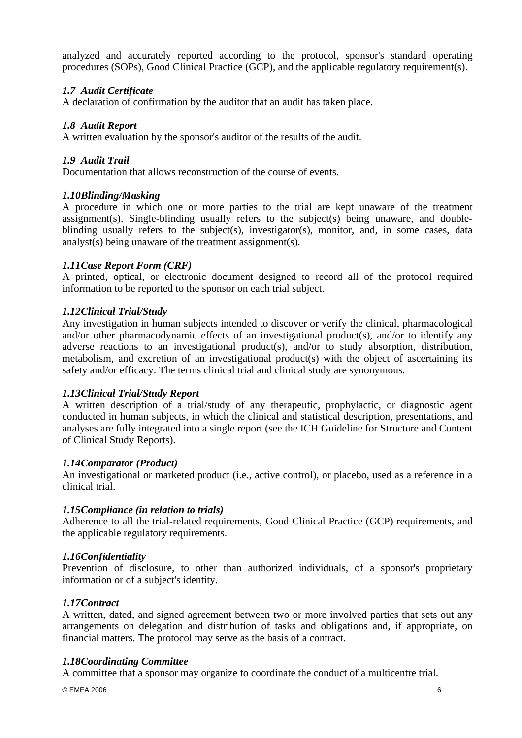<span id="page-5-0"></span>analyzed and accurately reported according to the protocol, sponsor's standard operating procedures (SOPs), Good Clinical Practice (GCP), and the applicable regulatory requirement(s).

# *1.7 Audit Certificate*

A declaration of confirmation by the auditor that an audit has taken place.

# *1.8 Audit Report*

A written evaluation by the sponsor's auditor of the results of the audit.

# *1.9 Audit Trail*

Documentation that allows reconstruction of the course of events.

## *1.10 Blinding/Masking*

A procedure in which one or more parties to the trial are kept unaware of the treatment assignment(s). Single-blinding usually refers to the subject(s) being unaware, and doubleblinding usually refers to the subject(s), investigator(s), monitor, and, in some cases, data analyst(s) being unaware of the treatment assignment(s).

### *1.11 Case Report Form (CRF)*

A printed, optical, or electronic document designed to record all of the protocol required information to be reported to the sponsor on each trial subject.

## *1.12 Clinical Trial/Study*

Any investigation in human subjects intended to discover or verify the clinical, pharmacological and/or other pharmacodynamic effects of an investigational product(s), and/or to identify any adverse reactions to an investigational product(s), and/or to study absorption, distribution, metabolism, and excretion of an investigational product(s) with the object of ascertaining its safety and/or efficacy. The terms clinical trial and clinical study are synonymous.

# *1.13 Clinical Trial/Study Report*

A written description of a trial/study of any therapeutic, prophylactic, or diagnostic agent conducted in human subjects, in which the clinical and statistical description, presentations, and analyses are fully integrated into a single report (see the ICH Guideline for Structure and Content of Clinical Study Reports).

### *1.14 Comparator (Product)*

An investigational or marketed product (i.e., active control), or placebo, used as a reference in a clinical trial.

### *1.15 Compliance (in relation to trials)*

Adherence to all the trial-related requirements, Good Clinical Practice (GCP) requirements, and the applicable regulatory requirements.

### *1.16 Confidentiality*

Prevention of disclosure, to other than authorized individuals, of a sponsor's proprietary information or of a subject's identity.

### *1.17 Contract*

A written, dated, and signed agreement between two or more involved parties that sets out any arrangements on delegation and distribution of tasks and obligations and, if appropriate, on financial matters. The protocol may serve as the basis of a contract.

# *1.18 Coordinating Committee*

A committee that a sponsor may organize to coordinate the conduct of a multicentre trial.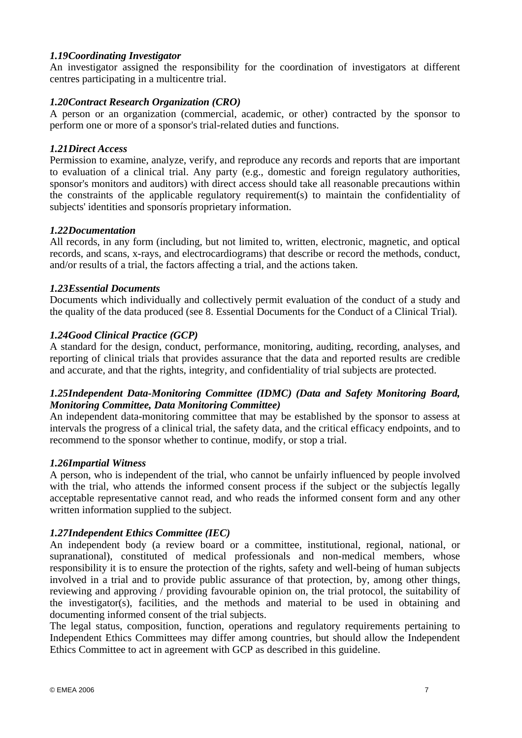### <span id="page-6-0"></span>*1.19 Coordinating Investigator*

An investigator assigned the responsibility for the coordination of investigators at different centres participating in a multicentre trial.

## *1.20 Contract Research Organization (CRO)*

A person or an organization (commercial, academic, or other) contracted by the sponsor to perform one or more of a sponsor's trial-related duties and functions.

### *1.21 Direct Access*

Permission to examine, analyze, verify, and reproduce any records and reports that are important to evaluation of a clinical trial. Any party (e.g., domestic and foreign regulatory authorities, sponsor's monitors and auditors) with direct access should take all reasonable precautions within the constraints of the applicable regulatory requirement(s) to maintain the confidentiality of subjects' identities and sponsorís proprietary information.

### *1.22 Documentation*

All records, in any form (including, but not limited to, written, electronic, magnetic, and optical records, and scans, x-rays, and electrocardiograms) that describe or record the methods, conduct, and/or results of a trial, the factors affecting a trial, and the actions taken.

### *1.23 Essential Documents*

Documents which individually and collectively permit evaluation of the conduct of a study and the quality of the data produced (see 8. Essential Documents for the Conduct of a Clinical Trial).

## *1.24 Good Clinical Practice (GCP)*

A standard for the design, conduct, performance, monitoring, auditing, recording, analyses, and reporting of clinical trials that provides assurance that the data and reported results are credible and accurate, and that the rights, integrity, and confidentiality of trial subjects are protected.

### *1.25 Independent Data-Monitoring Committee (IDMC) (Data and Safety Monitoring Board, Monitoring Committee, Data Monitoring Committee)*

An independent data-monitoring committee that may be established by the sponsor to assess at intervals the progress of a clinical trial, the safety data, and the critical efficacy endpoints, and to recommend to the sponsor whether to continue, modify, or stop a trial.

### *1.26 Impartial Witness*

A person, who is independent of the trial, who cannot be unfairly influenced by people involved with the trial, who attends the informed consent process if the subject or the subject is legally acceptable representative cannot read, and who reads the informed consent form and any other written information supplied to the subject.

### *1.27 Independent Ethics Committee (IEC)*

An independent body (a review board or a committee, institutional, regional, national, or supranational), constituted of medical professionals and non-medical members, whose responsibility it is to ensure the protection of the rights, safety and well-being of human subjects involved in a trial and to provide public assurance of that protection, by, among other things, reviewing and approving / providing favourable opinion on, the trial protocol, the suitability of the investigator(s), facilities, and the methods and material to be used in obtaining and documenting informed consent of the trial subjects.

The legal status, composition, function, operations and regulatory requirements pertaining to Independent Ethics Committees may differ among countries, but should allow the Independent Ethics Committee to act in agreement with GCP as described in this guideline.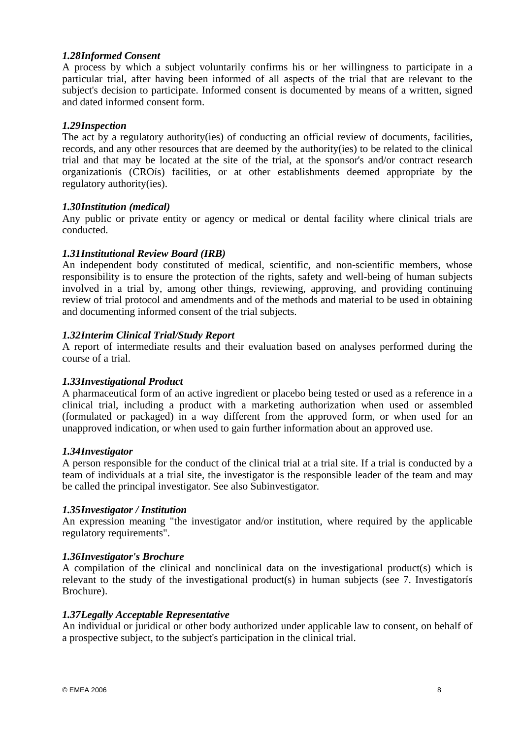### <span id="page-7-0"></span>*1.28 Informed Consent*

A process by which a subject voluntarily confirms his or her willingness to participate in a particular trial, after having been informed of all aspects of the trial that are relevant to the subject's decision to participate. Informed consent is documented by means of a written, signed and dated informed consent form.

### *1.29 Inspection*

The act by a regulatory authority(ies) of conducting an official review of documents, facilities, records, and any other resources that are deemed by the authority(ies) to be related to the clinical trial and that may be located at the site of the trial, at the sponsor's and/or contract research organizationís (CROís) facilities, or at other establishments deemed appropriate by the regulatory authority(ies).

## *1.30 Institution (medical)*

Any public or private entity or agency or medical or dental facility where clinical trials are conducted.

## *1.31 Institutional Review Board (IRB)*

An independent body constituted of medical, scientific, and non-scientific members, whose responsibility is to ensure the protection of the rights, safety and well-being of human subjects involved in a trial by, among other things, reviewing, approving, and providing continuing review of trial protocol and amendments and of the methods and material to be used in obtaining and documenting informed consent of the trial subjects.

## *1.32 Interim Clinical Trial/Study Report*

A report of intermediate results and their evaluation based on analyses performed during the course of a trial.

### *1.33 Investigational Product*

A pharmaceutical form of an active ingredient or placebo being tested or used as a reference in a clinical trial, including a product with a marketing authorization when used or assembled (formulated or packaged) in a way different from the approved form, or when used for an unapproved indication, or when used to gain further information about an approved use.

### *1.34 Investigator*

A person responsible for the conduct of the clinical trial at a trial site. If a trial is conducted by a team of individuals at a trial site, the investigator is the responsible leader of the team and may be called the principal investigator. See also Subinvestigator.

### *1.35 Investigator / Institution*

An expression meaning "the investigator and/or institution, where required by the applicable regulatory requirements".

### *1.36 Investigator's Brochure*

A compilation of the clinical and nonclinical data on the investigational product(s) which is relevant to the study of the investigational product(s) in human subjects (see 7. Investigatorís Brochure).

### *1.37 Legally Acceptable Representative*

An individual or juridical or other body authorized under applicable law to consent, on behalf of a prospective subject, to the subject's participation in the clinical trial.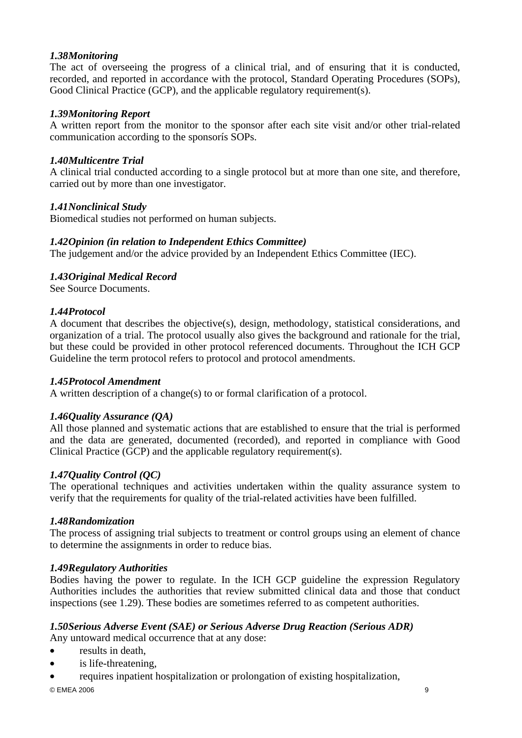# <span id="page-8-0"></span>*1.38 Monitoring*

The act of overseeing the progress of a clinical trial, and of ensuring that it is conducted, recorded, and reported in accordance with the protocol, Standard Operating Procedures (SOPs), Good Clinical Practice (GCP), and the applicable regulatory requirement(s).

## *1.39 Monitoring Report*

A written report from the monitor to the sponsor after each site visit and/or other trial-related communication according to the sponsorís SOPs.

### *1.40 Multicentre Trial*

A clinical trial conducted according to a single protocol but at more than one site, and therefore, carried out by more than one investigator.

### *1.41 Nonclinical Study*

Biomedical studies not performed on human subjects.

## *1.42 Opinion (in relation to Independent Ethics Committee)*

The judgement and/or the advice provided by an Independent Ethics Committee (IEC).

## *1.43 Original Medical Record*

See Source Documents.

## *1.44 Protocol*

A document that describes the objective(s), design, methodology, statistical considerations, and organization of a trial. The protocol usually also gives the background and rationale for the trial, but these could be provided in other protocol referenced documents. Throughout the ICH GCP Guideline the term protocol refers to protocol and protocol amendments.

### *1.45 Protocol Amendment*

A written description of a change(s) to or formal clarification of a protocol.

### *1.46 Quality Assurance (QA)*

All those planned and systematic actions that are established to ensure that the trial is performed and the data are generated, documented (recorded), and reported in compliance with Good Clinical Practice (GCP) and the applicable regulatory requirement(s).

# *1.47 Quality Control (QC)*

The operational techniques and activities undertaken within the quality assurance system to verify that the requirements for quality of the trial-related activities have been fulfilled.

### *1.48 Randomization*

The process of assigning trial subjects to treatment or control groups using an element of chance to determine the assignments in order to reduce bias.

### *1.49 Regulatory Authorities*

Bodies having the power to regulate. In the ICH GCP guideline the expression Regulatory Authorities includes the authorities that review submitted clinical data and those that conduct inspections (see 1.29). These bodies are sometimes referred to as competent authorities.

### *1.50 Serious Adverse Event (SAE) or Serious Adverse Drug Reaction (Serious ADR)*

Any untoward medical occurrence that at any dose:

- results in death.
- is life-threatening,
- requires inpatient hospitalization or prolongation of existing hospitalization,

 $\oslash$  EMEA 2006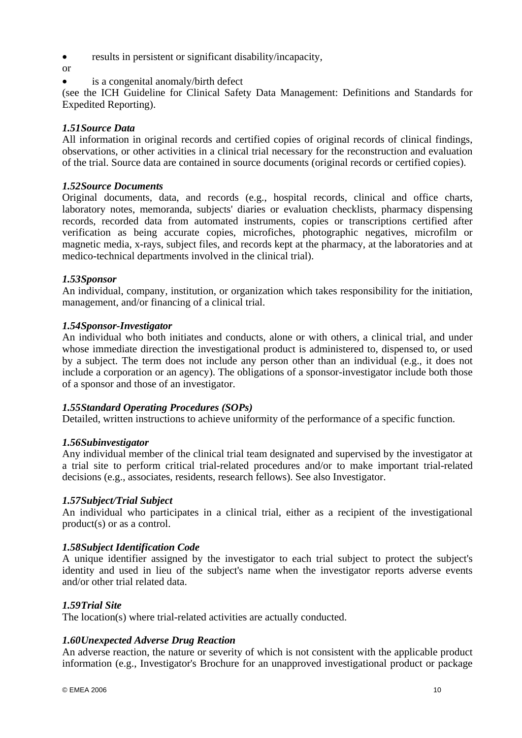<span id="page-9-0"></span>• results in persistent or significant disability/incapacity,

or

• is a congenital anomaly/birth defect

(see the ICH Guideline for Clinical Safety Data Management: Definitions and Standards for Expedited Reporting).

# *1.51 Source Data*

All information in original records and certified copies of original records of clinical findings, observations, or other activities in a clinical trial necessary for the reconstruction and evaluation of the trial. Source data are contained in source documents (original records or certified copies).

# *1.52 Source Documents*

Original documents, data, and records (e.g., hospital records, clinical and office charts, laboratory notes, memoranda, subjects' diaries or evaluation checklists, pharmacy dispensing records, recorded data from automated instruments, copies or transcriptions certified after verification as being accurate copies, microfiches, photographic negatives, microfilm or magnetic media, x-rays, subject files, and records kept at the pharmacy, at the laboratories and at medico-technical departments involved in the clinical trial).

## *1.53 Sponsor*

An individual, company, institution, or organization which takes responsibility for the initiation, management, and/or financing of a clinical trial.

## *1.54 Sponsor-Investigator*

An individual who both initiates and conducts, alone or with others, a clinical trial, and under whose immediate direction the investigational product is administered to, dispensed to, or used by a subject. The term does not include any person other than an individual (e.g., it does not include a corporation or an agency). The obligations of a sponsor-investigator include both those of a sponsor and those of an investigator.

### *1.55 Standard Operating Procedures (SOPs)*

Detailed, written instructions to achieve uniformity of the performance of a specific function.

### *1.56 Subinvestigator*

Any individual member of the clinical trial team designated and supervised by the investigator at a trial site to perform critical trial-related procedures and/or to make important trial-related decisions (e.g., associates, residents, research fellows). See also Investigator.

### *1.57 Subject/Trial Subject*

An individual who participates in a clinical trial, either as a recipient of the investigational product(s) or as a control.

### *1.58 Subject Identification Code*

A unique identifier assigned by the investigator to each trial subject to protect the subject's identity and used in lieu of the subject's name when the investigator reports adverse events and/or other trial related data.

# *1.59 Trial Site*

The location(s) where trial-related activities are actually conducted.

### *1.60 Unexpected Adverse Drug Reaction*

An adverse reaction, the nature or severity of which is not consistent with the applicable product information (e.g., Investigator's Brochure for an unapproved investigational product or package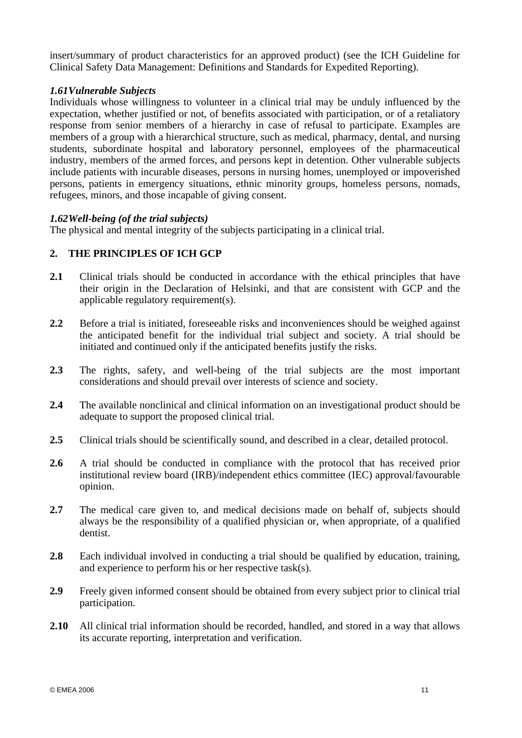<span id="page-10-0"></span>insert/summary of product characteristics for an approved product) (see the ICH Guideline for Clinical Safety Data Management: Definitions and Standards for Expedited Reporting).

### *1.61 Vulnerable Subjects*

Individuals whose willingness to volunteer in a clinical trial may be unduly influenced by the expectation, whether justified or not, of benefits associated with participation, or of a retaliatory response from senior members of a hierarchy in case of refusal to participate. Examples are members of a group with a hierarchical structure, such as medical, pharmacy, dental, and nursing students, subordinate hospital and laboratory personnel, employees of the pharmaceutical industry, members of the armed forces, and persons kept in detention. Other vulnerable subjects include patients with incurable diseases, persons in nursing homes, unemployed or impoverished persons, patients in emergency situations, ethnic minority groups, homeless persons, nomads, refugees, minors, and those incapable of giving consent.

#### *1.62 Well-being (of the trial subjects)*

The physical and mental integrity of the subjects participating in a clinical trial.

### **2. THE PRINCIPLES OF ICH GCP**

- 2.1 Clinical trials should be conducted in accordance with the ethical principles that have their origin in the Declaration of Helsinki, and that are consistent with GCP and the applicable regulatory requirement(s).
- **2.2** Before a trial is initiated, foreseeable risks and inconveniences should be weighed against the anticipated benefit for the individual trial subject and society. A trial should be initiated and continued only if the anticipated benefits justify the risks.
- **2.3** The rights, safety, and well-being of the trial subjects are the most important considerations and should prevail over interests of science and society.
- **2.4** The available nonclinical and clinical information on an investigational product should be adequate to support the proposed clinical trial.
- **2.5** Clinical trials should be scientifically sound, and described in a clear, detailed protocol.
- **2.6** A trial should be conducted in compliance with the protocol that has received prior institutional review board (IRB)/independent ethics committee (IEC) approval/favourable opinion.
- **2.7** The medical care given to, and medical decisions made on behalf of, subjects should always be the responsibility of a qualified physician or, when appropriate, of a qualified dentist.
- **2.8** Each individual involved in conducting a trial should be qualified by education, training, and experience to perform his or her respective task(s).
- **2.9** Freely given informed consent should be obtained from every subject prior to clinical trial participation.
- **2.10** All clinical trial information should be recorded, handled, and stored in a way that allows its accurate reporting, interpretation and verification.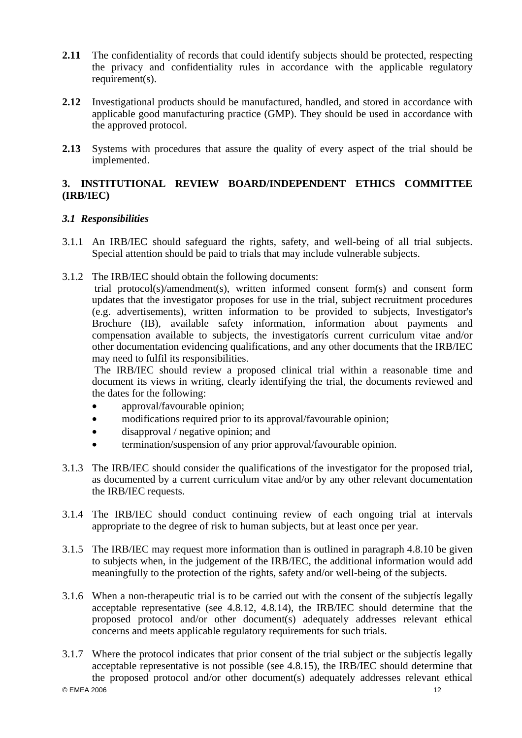- <span id="page-11-0"></span>**2.11** The confidentiality of records that could identify subjects should be protected, respecting the privacy and confidentiality rules in accordance with the applicable regulatory requirement(s).
- **2.12** Investigational products should be manufactured, handled, and stored in accordance with applicable good manufacturing practice (GMP). They should be used in accordance with the approved protocol.
- **2.13** Systems with procedures that assure the quality of every aspect of the trial should be implemented.

# **3. INSTITUTIONAL REVIEW BOARD/INDEPENDENT ETHICS COMMITTEE (IRB/IEC)**

# *3.1 Responsibilities*

- 3.1.1 An IRB/IEC should safeguard the rights, safety, and well-being of all trial subjects. Special attention should be paid to trials that may include vulnerable subjects.
- 3.1.2 The IRB/IEC should obtain the following documents:

 trial protocol(s)/amendment(s), written informed consent form(s) and consent form updates that the investigator proposes for use in the trial, subject recruitment procedures (e.g. advertisements), written information to be provided to subjects, Investigator's Brochure (IB), available safety information, information about payments and compensation available to subjects, the investigatorís current curriculum vitae and/or other documentation evidencing qualifications, and any other documents that the IRB/IEC may need to fulfil its responsibilities.

 The IRB/IEC should review a proposed clinical trial within a reasonable time and document its views in writing, clearly identifying the trial, the documents reviewed and the dates for the following:

- approval/favourable opinion;
- modifications required prior to its approval/favourable opinion;
- disapproval / negative opinion; and
- termination/suspension of any prior approval/favourable opinion.
- 3.1.3 The IRB/IEC should consider the qualifications of the investigator for the proposed trial, as documented by a current curriculum vitae and/or by any other relevant documentation the IRB/IEC requests.
- 3.1.4 The IRB/IEC should conduct continuing review of each ongoing trial at intervals appropriate to the degree of risk to human subjects, but at least once per year.
- 3.1.5 The IRB/IEC may request more information than is outlined in paragraph 4.8.10 be given to subjects when, in the judgement of the IRB/IEC, the additional information would add meaningfully to the protection of the rights, safety and/or well-being of the subjects.
- 3.1.6 When a non-therapeutic trial is to be carried out with the consent of the subjectís legally acceptable representative (see 4.8.12, 4.8.14), the IRB/IEC should determine that the proposed protocol and/or other document(s) adequately addresses relevant ethical concerns and meets applicable regulatory requirements for such trials.
- 3.1.7 Where the protocol indicates that prior consent of the trial subject or the subjectís legally acceptable representative is not possible (see 4.8.15), the IRB/IEC should determine that the proposed protocol and/or other document(s) adequately addresses relevant ethical  $© EMEA 2006$  12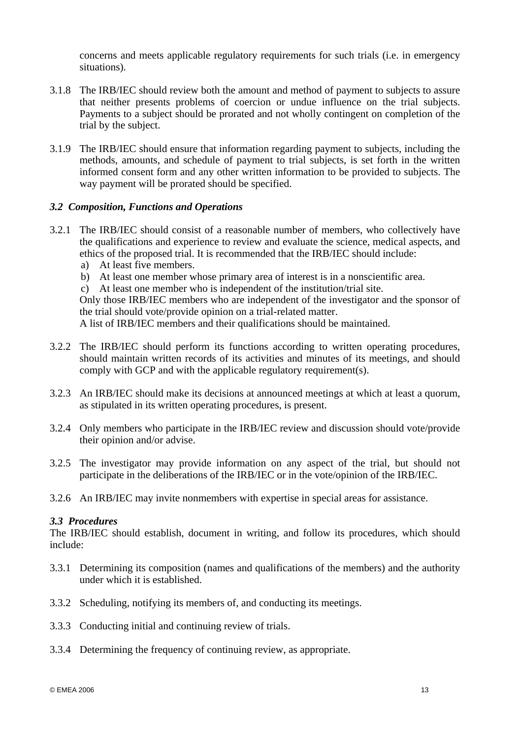<span id="page-12-0"></span>concerns and meets applicable regulatory requirements for such trials (i.e. in emergency situations).

- 3.1.8 The IRB/IEC should review both the amount and method of payment to subjects to assure that neither presents problems of coercion or undue influence on the trial subjects. Payments to a subject should be prorated and not wholly contingent on completion of the trial by the subject.
- 3.1.9 The IRB/IEC should ensure that information regarding payment to subjects, including the methods, amounts, and schedule of payment to trial subjects, is set forth in the written informed consent form and any other written information to be provided to subjects. The way payment will be prorated should be specified.

### *3.2 Composition, Functions and Operations*

- 3.2.1 The IRB/IEC should consist of a reasonable number of members, who collectively have the qualifications and experience to review and evaluate the science, medical aspects, and ethics of the proposed trial. It is recommended that the IRB/IEC should include:
	- a) At least five members.
	- b) At least one member whose primary area of interest is in a nonscientific area.
	- c) At least one member who is independent of the institution/trial site.

Only those IRB/IEC members who are independent of the investigator and the sponsor of the trial should vote/provide opinion on a trial-related matter.

A list of IRB/IEC members and their qualifications should be maintained.

- 3.2.2 The IRB/IEC should perform its functions according to written operating procedures, should maintain written records of its activities and minutes of its meetings, and should comply with GCP and with the applicable regulatory requirement(s).
- 3.2.3 An IRB/IEC should make its decisions at announced meetings at which at least a quorum, as stipulated in its written operating procedures, is present.
- 3.2.4 Only members who participate in the IRB/IEC review and discussion should vote/provide their opinion and/or advise.
- 3.2.5 The investigator may provide information on any aspect of the trial, but should not participate in the deliberations of the IRB/IEC or in the vote/opinion of the IRB/IEC.
- 3.2.6 An IRB/IEC may invite nonmembers with expertise in special areas for assistance.

#### *3.3 Procedures*

The IRB/IEC should establish, document in writing, and follow its procedures, which should include:

- 3.3.1 Determining its composition (names and qualifications of the members) and the authority under which it is established.
- 3.3.2 Scheduling, notifying its members of, and conducting its meetings.
- 3.3.3 Conducting initial and continuing review of trials.
- 3.3.4 Determining the frequency of continuing review, as appropriate.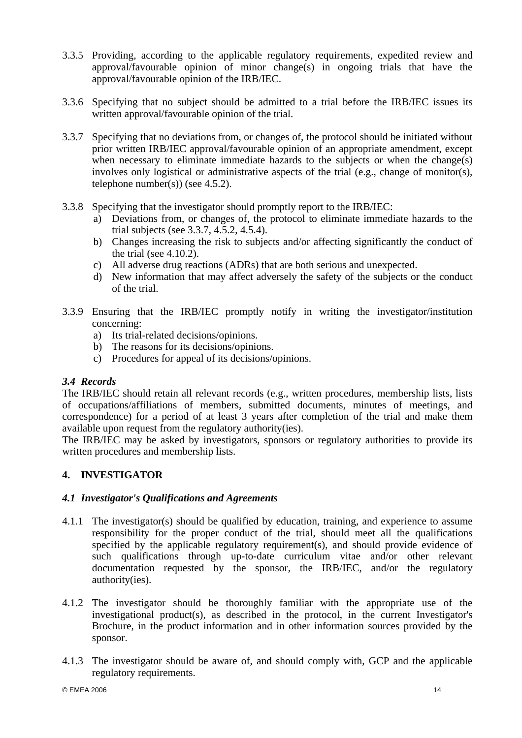- <span id="page-13-0"></span>3.3.5 Providing, according to the applicable regulatory requirements, expedited review and approval/favourable opinion of minor change(s) in ongoing trials that have the approval/favourable opinion of the IRB/IEC.
- 3.3.6 Specifying that no subject should be admitted to a trial before the IRB/IEC issues its written approval/favourable opinion of the trial.
- 3.3.7 Specifying that no deviations from, or changes of, the protocol should be initiated without prior written IRB/IEC approval/favourable opinion of an appropriate amendment, except when necessary to eliminate immediate hazards to the subjects or when the change(s) involves only logistical or administrative aspects of the trial (e.g., change of monitor(s), telephone number(s)) (see 4.5.2).
- 3.3.8 Specifying that the investigator should promptly report to the IRB/IEC:
	- a) Deviations from, or changes of, the protocol to eliminate immediate hazards to the trial subjects (see 3.3.7, 4.5.2, 4.5.4).
	- b) Changes increasing the risk to subjects and/or affecting significantly the conduct of the trial (see 4.10.2).
	- c) All adverse drug reactions (ADRs) that are both serious and unexpected.
	- d) New information that may affect adversely the safety of the subjects or the conduct of the trial.
- 3.3.9 Ensuring that the IRB/IEC promptly notify in writing the investigator/institution concerning:
	- a) Its trial-related decisions/opinions.
	- b) The reasons for its decisions/opinions.
	- c) Procedures for appeal of its decisions/opinions.

# *3.4 Records*

The IRB/IEC should retain all relevant records (e.g., written procedures, membership lists, lists of occupations/affiliations of members, submitted documents, minutes of meetings, and correspondence) for a period of at least 3 years after completion of the trial and make them available upon request from the regulatory authority(ies).

The IRB/IEC may be asked by investigators, sponsors or regulatory authorities to provide its written procedures and membership lists.

# **4. INVESTIGATOR**

### *4.1 Investigator's Qualifications and Agreements*

- 4.1.1 The investigator(s) should be qualified by education, training, and experience to assume responsibility for the proper conduct of the trial, should meet all the qualifications specified by the applicable regulatory requirement(s), and should provide evidence of such qualifications through up-to-date curriculum vitae and/or other relevant documentation requested by the sponsor, the IRB/IEC, and/or the regulatory authority(ies).
- 4.1.2 The investigator should be thoroughly familiar with the appropriate use of the investigational product(s), as described in the protocol, in the current Investigator's Brochure, in the product information and in other information sources provided by the sponsor.
- 4.1.3 The investigator should be aware of, and should comply with, GCP and the applicable regulatory requirements.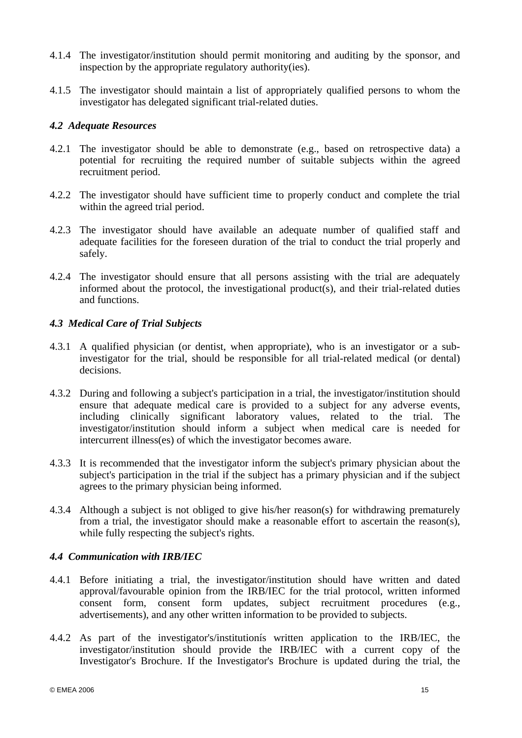- <span id="page-14-0"></span>4.1.4 The investigator/institution should permit monitoring and auditing by the sponsor, and inspection by the appropriate regulatory authority(ies).
- 4.1.5 The investigator should maintain a list of appropriately qualified persons to whom the investigator has delegated significant trial-related duties.

#### *4.2 Adequate Resources*

- 4.2.1 The investigator should be able to demonstrate (e.g., based on retrospective data) a potential for recruiting the required number of suitable subjects within the agreed recruitment period.
- 4.2.2 The investigator should have sufficient time to properly conduct and complete the trial within the agreed trial period.
- 4.2.3 The investigator should have available an adequate number of qualified staff and adequate facilities for the foreseen duration of the trial to conduct the trial properly and safely.
- 4.2.4 The investigator should ensure that all persons assisting with the trial are adequately informed about the protocol, the investigational product(s), and their trial-related duties and functions.

### *4.3 Medical Care of Trial Subjects*

- 4.3.1 A qualified physician (or dentist, when appropriate), who is an investigator or a subinvestigator for the trial, should be responsible for all trial-related medical (or dental) decisions.
- 4.3.2 During and following a subject's participation in a trial, the investigator/institution should ensure that adequate medical care is provided to a subject for any adverse events, including clinically significant laboratory values, related to the trial. The investigator/institution should inform a subject when medical care is needed for intercurrent illness(es) of which the investigator becomes aware.
- 4.3.3 It is recommended that the investigator inform the subject's primary physician about the subject's participation in the trial if the subject has a primary physician and if the subject agrees to the primary physician being informed.
- 4.3.4 Although a subject is not obliged to give his/her reason(s) for withdrawing prematurely from a trial, the investigator should make a reasonable effort to ascertain the reason(s), while fully respecting the subject's rights.

#### *4.4 Communication with IRB/IEC*

- 4.4.1 Before initiating a trial, the investigator/institution should have written and dated approval/favourable opinion from the IRB/IEC for the trial protocol, written informed consent form, consent form updates, subject recruitment procedures (e.g., advertisements), and any other written information to be provided to subjects.
- 4.4.2 As part of the investigator's/institutionís written application to the IRB/IEC, the investigator/institution should provide the IRB/IEC with a current copy of the Investigator's Brochure. If the Investigator's Brochure is updated during the trial, the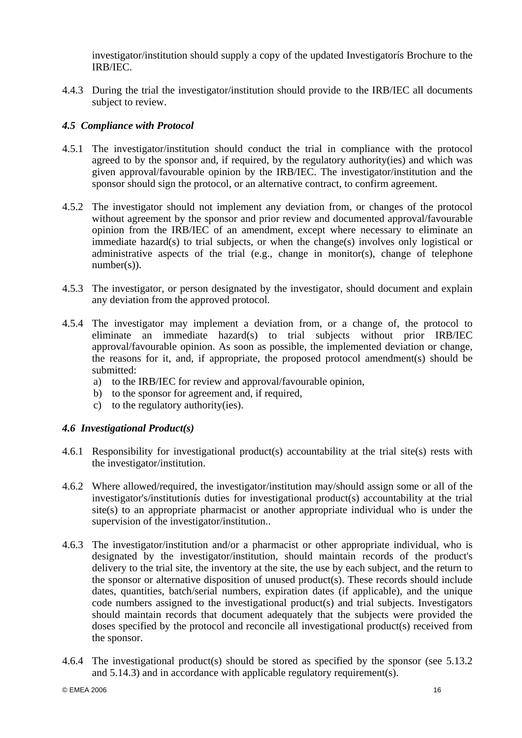<span id="page-15-0"></span>investigator/institution should supply a copy of the updated Investigatorís Brochure to the IRB/IEC.

4.4.3 During the trial the investigator/institution should provide to the IRB/IEC all documents subject to review.

# *4.5 Compliance with Protocol*

- 4.5.1 The investigator/institution should conduct the trial in compliance with the protocol agreed to by the sponsor and, if required, by the regulatory authority(ies) and which was given approval/favourable opinion by the IRB/IEC. The investigator/institution and the sponsor should sign the protocol, or an alternative contract, to confirm agreement.
- 4.5.2 The investigator should not implement any deviation from, or changes of the protocol without agreement by the sponsor and prior review and documented approval/favourable opinion from the IRB/IEC of an amendment, except where necessary to eliminate an immediate hazard(s) to trial subjects, or when the change(s) involves only logistical or administrative aspects of the trial (e.g., change in monitor(s), change of telephone  $number(s)$ ).
- 4.5.3 The investigator, or person designated by the investigator, should document and explain any deviation from the approved protocol.
- 4.5.4 The investigator may implement a deviation from, or a change of, the protocol to eliminate an immediate hazard(s) to trial subjects without prior IRB/IEC approval/favourable opinion. As soon as possible, the implemented deviation or change, the reasons for it, and, if appropriate, the proposed protocol amendment(s) should be submitted:
	- a) to the IRB/IEC for review and approval/favourable opinion,
	- b) to the sponsor for agreement and, if required,
	- c) to the regulatory authority(ies).

### *4.6 Investigational Product(s)*

- 4.6.1 Responsibility for investigational product(s) accountability at the trial site(s) rests with the investigator/institution.
- 4.6.2 Where allowed/required, the investigator/institution may/should assign some or all of the investigator's/institutionís duties for investigational product(s) accountability at the trial site(s) to an appropriate pharmacist or another appropriate individual who is under the supervision of the investigator/institution..
- 4.6.3 The investigator/institution and/or a pharmacist or other appropriate individual, who is designated by the investigator/institution, should maintain records of the product's delivery to the trial site, the inventory at the site, the use by each subject, and the return to the sponsor or alternative disposition of unused product(s). These records should include dates, quantities, batch/serial numbers, expiration dates (if applicable), and the unique code numbers assigned to the investigational product(s) and trial subjects. Investigators should maintain records that document adequately that the subjects were provided the doses specified by the protocol and reconcile all investigational product(s) received from the sponsor.
- 4.6.4 The investigational product(s) should be stored as specified by the sponsor (see 5.13.2 and 5.14.3) and in accordance with applicable regulatory requirement(s).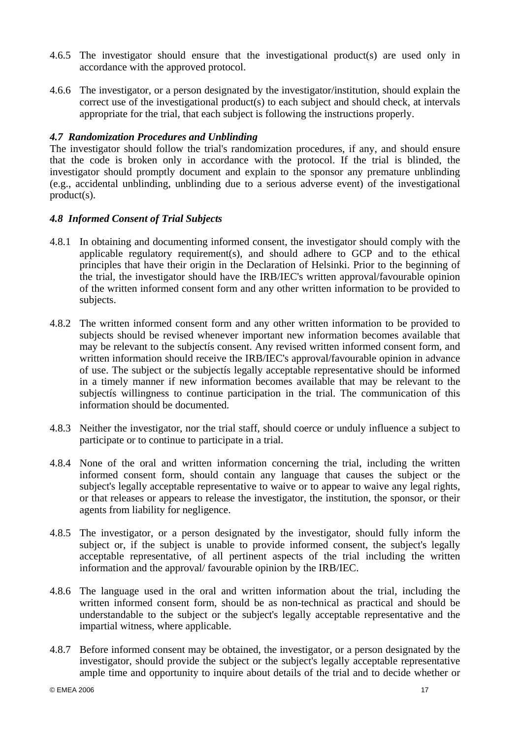- <span id="page-16-0"></span>4.6.5 The investigator should ensure that the investigational product(s) are used only in accordance with the approved protocol.
- 4.6.6 The investigator, or a person designated by the investigator/institution, should explain the correct use of the investigational product(s) to each subject and should check, at intervals appropriate for the trial, that each subject is following the instructions properly.

### *4.7 Randomization Procedures and Unblinding*

The investigator should follow the trial's randomization procedures, if any, and should ensure that the code is broken only in accordance with the protocol. If the trial is blinded, the investigator should promptly document and explain to the sponsor any premature unblinding (e.g., accidental unblinding, unblinding due to a serious adverse event) of the investigational product(s).

### *4.8 Informed Consent of Trial Subjects*

- 4.8.1 In obtaining and documenting informed consent, the investigator should comply with the applicable regulatory requirement(s), and should adhere to GCP and to the ethical principles that have their origin in the Declaration of Helsinki. Prior to the beginning of the trial, the investigator should have the IRB/IEC's written approval/favourable opinion of the written informed consent form and any other written information to be provided to subjects.
- 4.8.2 The written informed consent form and any other written information to be provided to subjects should be revised whenever important new information becomes available that may be relevant to the subjectís consent. Any revised written informed consent form, and written information should receive the IRB/IEC's approval/favourable opinion in advance of use. The subject or the subjectís legally acceptable representative should be informed in a timely manner if new information becomes available that may be relevant to the subjectís willingness to continue participation in the trial. The communication of this information should be documented.
- 4.8.3 Neither the investigator, nor the trial staff, should coerce or unduly influence a subject to participate or to continue to participate in a trial.
- 4.8.4 None of the oral and written information concerning the trial, including the written informed consent form, should contain any language that causes the subject or the subject's legally acceptable representative to waive or to appear to waive any legal rights, or that releases or appears to release the investigator, the institution, the sponsor, or their agents from liability for negligence.
- 4.8.5 The investigator, or a person designated by the investigator, should fully inform the subject or, if the subject is unable to provide informed consent, the subject's legally acceptable representative, of all pertinent aspects of the trial including the written information and the approval/ favourable opinion by the IRB/IEC.
- 4.8.6 The language used in the oral and written information about the trial, including the written informed consent form, should be as non-technical as practical and should be understandable to the subject or the subject's legally acceptable representative and the impartial witness, where applicable.
- 4.8.7 Before informed consent may be obtained, the investigator, or a person designated by the investigator, should provide the subject or the subject's legally acceptable representative ample time and opportunity to inquire about details of the trial and to decide whether or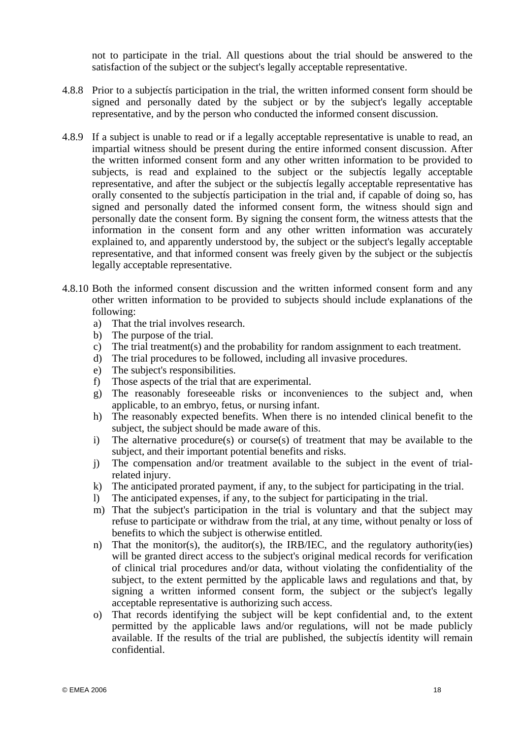not to participate in the trial. All questions about the trial should be answered to the satisfaction of the subject or the subject's legally acceptable representative.

- 4.8.8 Prior to a subjectís participation in the trial, the written informed consent form should be signed and personally dated by the subject or by the subject's legally acceptable representative, and by the person who conducted the informed consent discussion.
- 4.8.9 If a subject is unable to read or if a legally acceptable representative is unable to read, an impartial witness should be present during the entire informed consent discussion. After the written informed consent form and any other written information to be provided to subjects, is read and explained to the subject or the subjectís legally acceptable representative, and after the subject or the subjectís legally acceptable representative has orally consented to the subjectís participation in the trial and, if capable of doing so, has signed and personally dated the informed consent form, the witness should sign and personally date the consent form. By signing the consent form, the witness attests that the information in the consent form and any other written information was accurately explained to, and apparently understood by, the subject or the subject's legally acceptable representative, and that informed consent was freely given by the subject or the subjectís legally acceptable representative.
- 4.8.10 Both the informed consent discussion and the written informed consent form and any other written information to be provided to subjects should include explanations of the following:
	- a) That the trial involves research.
	- b) The purpose of the trial.
	- c) The trial treatment(s) and the probability for random assignment to each treatment.
	- d) The trial procedures to be followed, including all invasive procedures.
	- e) The subject's responsibilities.
	- f) Those aspects of the trial that are experimental.
	- g) The reasonably foreseeable risks or inconveniences to the subject and, when applicable, to an embryo, fetus, or nursing infant.
	- h) The reasonably expected benefits. When there is no intended clinical benefit to the subject, the subject should be made aware of this.
	- i) The alternative procedure(s) or course(s) of treatment that may be available to the subject, and their important potential benefits and risks.
	- j) The compensation and/or treatment available to the subject in the event of trialrelated injury.
	- k) The anticipated prorated payment, if any, to the subject for participating in the trial.
	- l) The anticipated expenses, if any, to the subject for participating in the trial.
	- m) That the subject's participation in the trial is voluntary and that the subject may refuse to participate or withdraw from the trial, at any time, without penalty or loss of benefits to which the subject is otherwise entitled.
	- n) That the monitor(s), the auditor(s), the IRB/IEC, and the regulatory authority(ies) will be granted direct access to the subject's original medical records for verification of clinical trial procedures and/or data, without violating the confidentiality of the subject, to the extent permitted by the applicable laws and regulations and that, by signing a written informed consent form, the subject or the subject's legally acceptable representative is authorizing such access.
	- o) That records identifying the subject will be kept confidential and, to the extent permitted by the applicable laws and/or regulations, will not be made publicly available. If the results of the trial are published, the subjectís identity will remain confidential.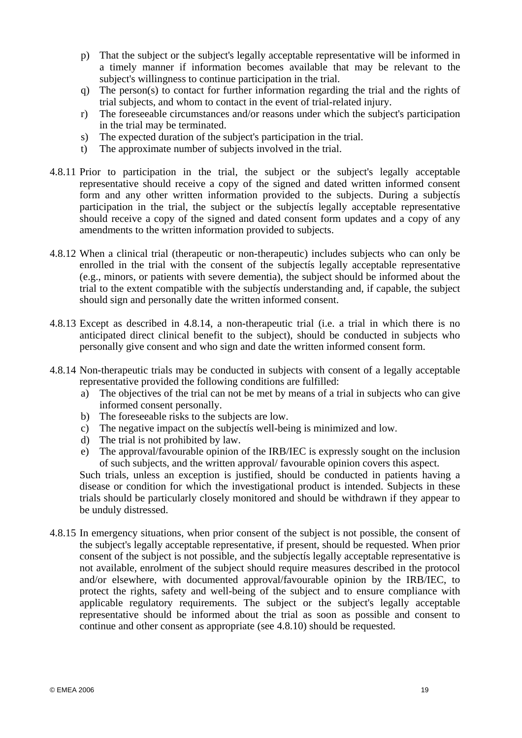- p) That the subject or the subject's legally acceptable representative will be informed in a timely manner if information becomes available that may be relevant to the subject's willingness to continue participation in the trial.
- q) The person(s) to contact for further information regarding the trial and the rights of trial subjects, and whom to contact in the event of trial-related injury.
- r) The foreseeable circumstances and/or reasons under which the subject's participation in the trial may be terminated.
- s) The expected duration of the subject's participation in the trial.
- t) The approximate number of subjects involved in the trial.
- 4.8.11 Prior to participation in the trial, the subject or the subject's legally acceptable representative should receive a copy of the signed and dated written informed consent form and any other written information provided to the subjects. During a subjectís participation in the trial, the subject or the subjectís legally acceptable representative should receive a copy of the signed and dated consent form updates and a copy of any amendments to the written information provided to subjects.
- 4.8.12 When a clinical trial (therapeutic or non-therapeutic) includes subjects who can only be enrolled in the trial with the consent of the subjectís legally acceptable representative (e.g., minors, or patients with severe dementia), the subject should be informed about the trial to the extent compatible with the subjectís understanding and, if capable, the subject should sign and personally date the written informed consent.
- 4.8.13 Except as described in 4.8.14, a non-therapeutic trial (i.e. a trial in which there is no anticipated direct clinical benefit to the subject), should be conducted in subjects who personally give consent and who sign and date the written informed consent form.
- 4.8.14 Non-therapeutic trials may be conducted in subjects with consent of a legally acceptable representative provided the following conditions are fulfilled:
	- a) The objectives of the trial can not be met by means of a trial in subjects who can give informed consent personally.
	- b) The foreseeable risks to the subjects are low.
	- c) The negative impact on the subjectís well-being is minimized and low.
	- d) The trial is not prohibited by law.
	- e) The approval/favourable opinion of the IRB/IEC is expressly sought on the inclusion of such subjects, and the written approval/ favourable opinion covers this aspect.

Such trials, unless an exception is justified, should be conducted in patients having a disease or condition for which the investigational product is intended. Subjects in these trials should be particularly closely monitored and should be withdrawn if they appear to be unduly distressed.

4.8.15 In emergency situations, when prior consent of the subject is not possible, the consent of the subject's legally acceptable representative, if present, should be requested. When prior consent of the subject is not possible, and the subjectís legally acceptable representative is not available, enrolment of the subject should require measures described in the protocol and/or elsewhere, with documented approval/favourable opinion by the IRB/IEC, to protect the rights, safety and well-being of the subject and to ensure compliance with applicable regulatory requirements. The subject or the subject's legally acceptable representative should be informed about the trial as soon as possible and consent to continue and other consent as appropriate (see 4.8.10) should be requested.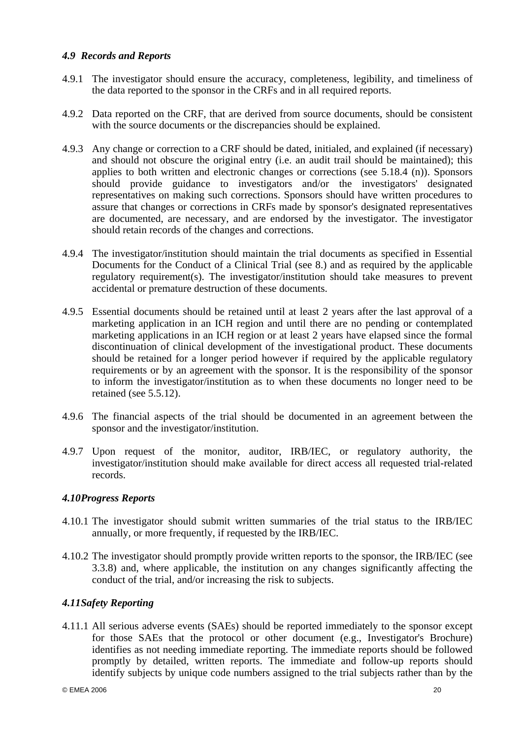# <span id="page-19-0"></span>*4.9 Records and Reports*

- 4.9.1 The investigator should ensure the accuracy, completeness, legibility, and timeliness of the data reported to the sponsor in the CRFs and in all required reports.
- 4.9.2 Data reported on the CRF, that are derived from source documents, should be consistent with the source documents or the discrepancies should be explained.
- 4.9.3 Any change or correction to a CRF should be dated, initialed, and explained (if necessary) and should not obscure the original entry (i.e. an audit trail should be maintained); this applies to both written and electronic changes or corrections (see 5.18.4 (n)). Sponsors should provide guidance to investigators and/or the investigators' designated representatives on making such corrections. Sponsors should have written procedures to assure that changes or corrections in CRFs made by sponsor's designated representatives are documented, are necessary, and are endorsed by the investigator. The investigator should retain records of the changes and corrections.
- 4.9.4 The investigator/institution should maintain the trial documents as specified in Essential Documents for the Conduct of a Clinical Trial (see 8.) and as required by the applicable regulatory requirement(s). The investigator/institution should take measures to prevent accidental or premature destruction of these documents.
- 4.9.5 Essential documents should be retained until at least 2 years after the last approval of a marketing application in an ICH region and until there are no pending or contemplated marketing applications in an ICH region or at least 2 years have elapsed since the formal discontinuation of clinical development of the investigational product. These documents should be retained for a longer period however if required by the applicable regulatory requirements or by an agreement with the sponsor. It is the responsibility of the sponsor to inform the investigator/institution as to when these documents no longer need to be retained (see 5.5.12).
- 4.9.6 The financial aspects of the trial should be documented in an agreement between the sponsor and the investigator/institution.
- 4.9.7 Upon request of the monitor, auditor, IRB/IEC, or regulatory authority, the investigator/institution should make available for direct access all requested trial-related records.

# *4.10 Progress Reports*

- 4.10.1 The investigator should submit written summaries of the trial status to the IRB/IEC annually, or more frequently, if requested by the IRB/IEC.
- 4.10.2 The investigator should promptly provide written reports to the sponsor, the IRB/IEC (see 3.3.8) and, where applicable, the institution on any changes significantly affecting the conduct of the trial, and/or increasing the risk to subjects.

# *4.11 Safety Reporting*

4.11.1 All serious adverse events (SAEs) should be reported immediately to the sponsor except for those SAEs that the protocol or other document (e.g., Investigator's Brochure) identifies as not needing immediate reporting. The immediate reports should be followed promptly by detailed, written reports. The immediate and follow-up reports should identify subjects by unique code numbers assigned to the trial subjects rather than by the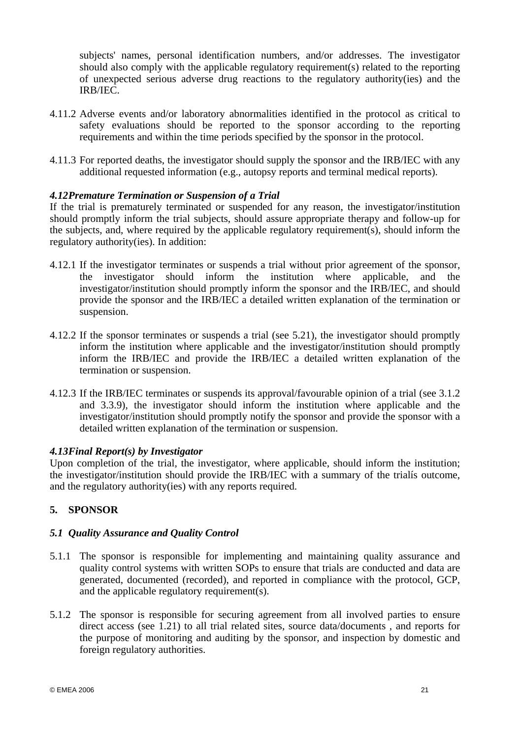<span id="page-20-0"></span>subjects' names, personal identification numbers, and/or addresses. The investigator should also comply with the applicable regulatory requirement(s) related to the reporting of unexpected serious adverse drug reactions to the regulatory authority(ies) and the IRB/IEC.

- 4.11.2 Adverse events and/or laboratory abnormalities identified in the protocol as critical to safety evaluations should be reported to the sponsor according to the reporting requirements and within the time periods specified by the sponsor in the protocol.
- 4.11.3 For reported deaths, the investigator should supply the sponsor and the IRB/IEC with any additional requested information (e.g., autopsy reports and terminal medical reports).

### *4.12 Premature Termination or Suspension of a Trial*

If the trial is prematurely terminated or suspended for any reason, the investigator/institution should promptly inform the trial subjects, should assure appropriate therapy and follow-up for the subjects, and, where required by the applicable regulatory requirement(s), should inform the regulatory authority(ies). In addition:

- 4.12.1 If the investigator terminates or suspends a trial without prior agreement of the sponsor, the investigator should inform the institution where applicable, and the investigator/institution should promptly inform the sponsor and the IRB/IEC, and should provide the sponsor and the IRB/IEC a detailed written explanation of the termination or suspension.
- 4.12.2 If the sponsor terminates or suspends a trial (see 5.21), the investigator should promptly inform the institution where applicable and the investigator/institution should promptly inform the IRB/IEC and provide the IRB/IEC a detailed written explanation of the termination or suspension.
- 4.12.3 If the IRB/IEC terminates or suspends its approval/favourable opinion of a trial (see 3.1.2 and 3.3.9), the investigator should inform the institution where applicable and the investigator/institution should promptly notify the sponsor and provide the sponsor with a detailed written explanation of the termination or suspension.

### *4.13 Final Report(s) by Investigator*

Upon completion of the trial, the investigator, where applicable, should inform the institution; the investigator/institution should provide the IRB/IEC with a summary of the trialís outcome, and the regulatory authority(ies) with any reports required.

# **5. SPONSOR**

### *5.1 Quality Assurance and Quality Control*

- 5.1.1 The sponsor is responsible for implementing and maintaining quality assurance and quality control systems with written SOPs to ensure that trials are conducted and data are generated, documented (recorded), and reported in compliance with the protocol, GCP, and the applicable regulatory requirement(s).
- 5.1.2 The sponsor is responsible for securing agreement from all involved parties to ensure direct access (see 1.21) to all trial related sites, source data/documents , and reports for the purpose of monitoring and auditing by the sponsor, and inspection by domestic and foreign regulatory authorities.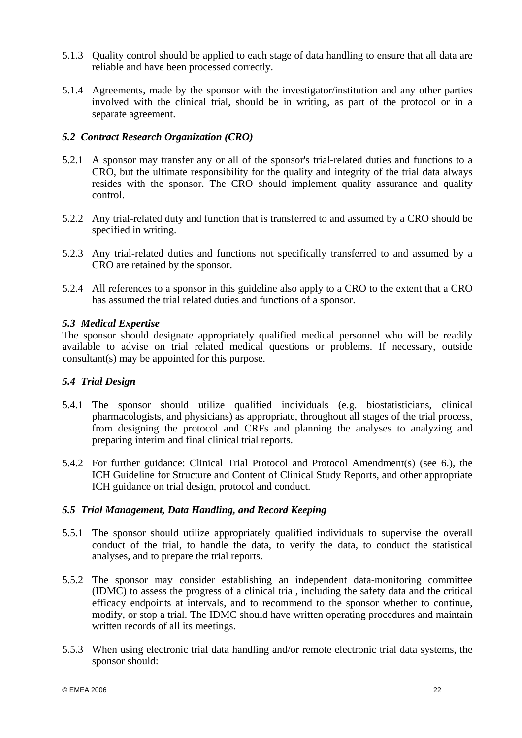- <span id="page-21-0"></span>5.1.3 Quality control should be applied to each stage of data handling to ensure that all data are reliable and have been processed correctly.
- 5.1.4 Agreements, made by the sponsor with the investigator/institution and any other parties involved with the clinical trial, should be in writing, as part of the protocol or in a separate agreement.

## *5.2 Contract Research Organization (CRO)*

- 5.2.1 A sponsor may transfer any or all of the sponsor's trial-related duties and functions to a CRO, but the ultimate responsibility for the quality and integrity of the trial data always resides with the sponsor. The CRO should implement quality assurance and quality control.
- 5.2.2 Any trial-related duty and function that is transferred to and assumed by a CRO should be specified in writing.
- 5.2.3 Any trial-related duties and functions not specifically transferred to and assumed by a CRO are retained by the sponsor.
- 5.2.4 All references to a sponsor in this guideline also apply to a CRO to the extent that a CRO has assumed the trial related duties and functions of a sponsor.

### *5.3 Medical Expertise*

The sponsor should designate appropriately qualified medical personnel who will be readily available to advise on trial related medical questions or problems. If necessary, outside consultant(s) may be appointed for this purpose.

# *5.4 Trial Design*

- 5.4.1 The sponsor should utilize qualified individuals (e.g. biostatisticians, clinical pharmacologists, and physicians) as appropriate, throughout all stages of the trial process, from designing the protocol and CRFs and planning the analyses to analyzing and preparing interim and final clinical trial reports.
- 5.4.2 For further guidance: Clinical Trial Protocol and Protocol Amendment(s) (see 6.), the ICH Guideline for Structure and Content of Clinical Study Reports, and other appropriate ICH guidance on trial design, protocol and conduct.

### *5.5 Trial Management, Data Handling, and Record Keeping*

- 5.5.1 The sponsor should utilize appropriately qualified individuals to supervise the overall conduct of the trial, to handle the data, to verify the data, to conduct the statistical analyses, and to prepare the trial reports.
- 5.5.2 The sponsor may consider establishing an independent data-monitoring committee (IDMC) to assess the progress of a clinical trial, including the safety data and the critical efficacy endpoints at intervals, and to recommend to the sponsor whether to continue, modify, or stop a trial. The IDMC should have written operating procedures and maintain written records of all its meetings.
- 5.5.3 When using electronic trial data handling and/or remote electronic trial data systems, the sponsor should: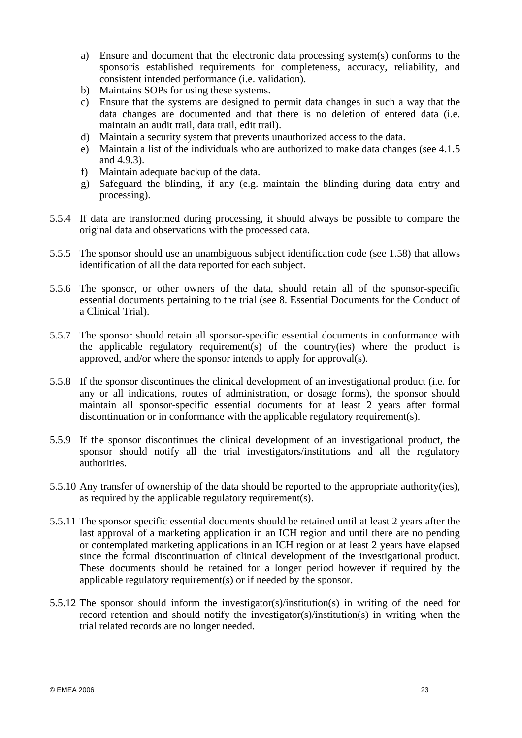- a) Ensure and document that the electronic data processing system(s) conforms to the sponsorís established requirements for completeness, accuracy, reliability, and consistent intended performance (i.e. validation).
- b) Maintains SOPs for using these systems.
- c) Ensure that the systems are designed to permit data changes in such a way that the data changes are documented and that there is no deletion of entered data (i.e. maintain an audit trail, data trail, edit trail).
- d) Maintain a security system that prevents unauthorized access to the data.
- e) Maintain a list of the individuals who are authorized to make data changes (see 4.1.5 and 4.9.3).
- f) Maintain adequate backup of the data.
- g) Safeguard the blinding, if any (e.g. maintain the blinding during data entry and processing).
- 5.5.4 If data are transformed during processing, it should always be possible to compare the original data and observations with the processed data.
- 5.5.5 The sponsor should use an unambiguous subject identification code (see 1.58) that allows identification of all the data reported for each subject.
- 5.5.6 The sponsor, or other owners of the data, should retain all of the sponsor-specific essential documents pertaining to the trial (see 8. Essential Documents for the Conduct of a Clinical Trial).
- 5.5.7 The sponsor should retain all sponsor-specific essential documents in conformance with the applicable regulatory requirement(s) of the country(ies) where the product is approved, and/or where the sponsor intends to apply for approval(s).
- 5.5.8 If the sponsor discontinues the clinical development of an investigational product (i.e. for any or all indications, routes of administration, or dosage forms), the sponsor should maintain all sponsor-specific essential documents for at least 2 years after formal discontinuation or in conformance with the applicable regulatory requirement(s).
- 5.5.9 If the sponsor discontinues the clinical development of an investigational product, the sponsor should notify all the trial investigators/institutions and all the regulatory authorities.
- 5.5.10 Any transfer of ownership of the data should be reported to the appropriate authority(ies), as required by the applicable regulatory requirement(s).
- 5.5.11 The sponsor specific essential documents should be retained until at least 2 years after the last approval of a marketing application in an ICH region and until there are no pending or contemplated marketing applications in an ICH region or at least 2 years have elapsed since the formal discontinuation of clinical development of the investigational product. These documents should be retained for a longer period however if required by the applicable regulatory requirement(s) or if needed by the sponsor.
- 5.5.12 The sponsor should inform the investigator(s)/institution(s) in writing of the need for record retention and should notify the investigator(s)/institution(s) in writing when the trial related records are no longer needed.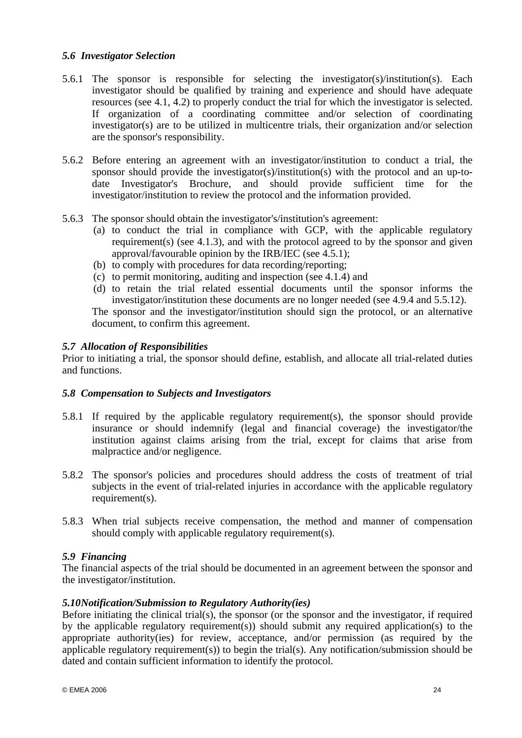## <span id="page-23-0"></span>*5.6 Investigator Selection*

- 5.6.1 The sponsor is responsible for selecting the investigator(s)/institution(s). Each investigator should be qualified by training and experience and should have adequate resources (see 4.1, 4.2) to properly conduct the trial for which the investigator is selected. If organization of a coordinating committee and/or selection of coordinating investigator(s) are to be utilized in multicentre trials, their organization and/or selection are the sponsor's responsibility.
- 5.6.2 Before entering an agreement with an investigator/institution to conduct a trial, the sponsor should provide the investigator(s)/institution(s) with the protocol and an up-todate Investigator's Brochure, and should provide sufficient time for the investigator/institution to review the protocol and the information provided.
- 5.6.3 The sponsor should obtain the investigator's/institution's agreement:
	- (a) to conduct the trial in compliance with GCP, with the applicable regulatory requirement(s) (see  $4.1.3$ ), and with the protocol agreed to by the sponsor and given approval/favourable opinion by the IRB/IEC (see 4.5.1);
	- (b) to comply with procedures for data recording/reporting;
	- (c) to permit monitoring, auditing and inspection (see 4.1.4) and
	- (d) to retain the trial related essential documents until the sponsor informs the investigator/institution these documents are no longer needed (see 4.9.4 and 5.5.12).

The sponsor and the investigator/institution should sign the protocol, or an alternative document, to confirm this agreement.

## *5.7 Allocation of Responsibilities*

Prior to initiating a trial, the sponsor should define, establish, and allocate all trial-related duties and functions.

### *5.8 Compensation to Subjects and Investigators*

- 5.8.1 If required by the applicable regulatory requirement(s), the sponsor should provide insurance or should indemnify (legal and financial coverage) the investigator/the institution against claims arising from the trial, except for claims that arise from malpractice and/or negligence.
- 5.8.2 The sponsor's policies and procedures should address the costs of treatment of trial subjects in the event of trial-related injuries in accordance with the applicable regulatory requirement(s).
- 5.8.3 When trial subjects receive compensation, the method and manner of compensation should comply with applicable regulatory requirement(s).

### *5.9 Financing*

The financial aspects of the trial should be documented in an agreement between the sponsor and the investigator/institution.

### *5.10 Notification/Submission to Regulatory Authority(ies)*

Before initiating the clinical trial(s), the sponsor (or the sponsor and the investigator, if required by the applicable regulatory requirement(s)) should submit any required application(s) to the appropriate authority(ies) for review, acceptance, and/or permission (as required by the applicable regulatory requirement(s)) to begin the trial(s). Any notification/submission should be dated and contain sufficient information to identify the protocol.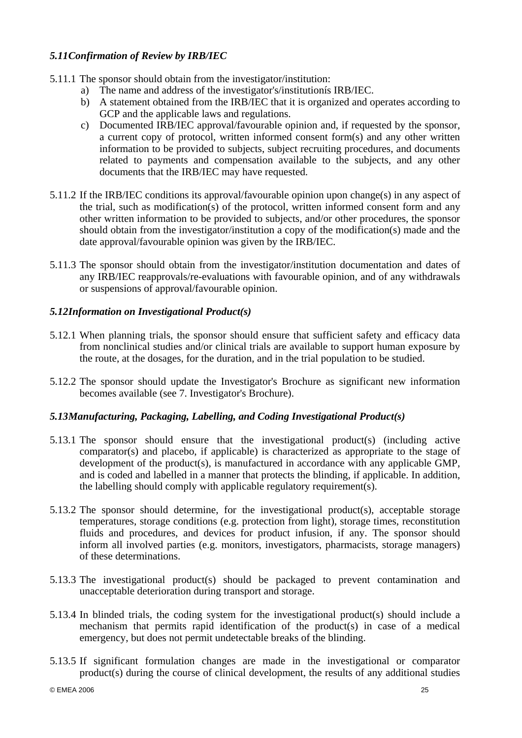# <span id="page-24-0"></span>*5.11 Confirmation of Review by IRB/IEC*

- 5.11.1 The sponsor should obtain from the investigator/institution:
	- a) The name and address of the investigator's/institutionís IRB/IEC.
	- b) A statement obtained from the IRB/IEC that it is organized and operates according to GCP and the applicable laws and regulations.
	- c) Documented IRB/IEC approval/favourable opinion and, if requested by the sponsor, a current copy of protocol, written informed consent form(s) and any other written information to be provided to subjects, subject recruiting procedures, and documents related to payments and compensation available to the subjects, and any other documents that the IRB/IEC may have requested.
- 5.11.2 If the IRB/IEC conditions its approval/favourable opinion upon change(s) in any aspect of the trial, such as modification(s) of the protocol, written informed consent form and any other written information to be provided to subjects, and/or other procedures, the sponsor should obtain from the investigator/institution a copy of the modification(s) made and the date approval/favourable opinion was given by the IRB/IEC.
- 5.11.3 The sponsor should obtain from the investigator/institution documentation and dates of any IRB/IEC reapprovals/re-evaluations with favourable opinion, and of any withdrawals or suspensions of approval/favourable opinion.

### *5.12 Information on Investigational Product(s)*

- 5.12.1 When planning trials, the sponsor should ensure that sufficient safety and efficacy data from nonclinical studies and/or clinical trials are available to support human exposure by the route, at the dosages, for the duration, and in the trial population to be studied.
- 5.12.2 The sponsor should update the Investigator's Brochure as significant new information becomes available (see 7. Investigator's Brochure).

### *5.13 Manufacturing, Packaging, Labelling, and Coding Investigational Product(s)*

- 5.13.1 The sponsor should ensure that the investigational product(s) (including active comparator(s) and placebo, if applicable) is characterized as appropriate to the stage of development of the product(s), is manufactured in accordance with any applicable GMP, and is coded and labelled in a manner that protects the blinding, if applicable. In addition, the labelling should comply with applicable regulatory requirement(s).
- 5.13.2 The sponsor should determine, for the investigational product(s), acceptable storage temperatures, storage conditions (e.g. protection from light), storage times, reconstitution fluids and procedures, and devices for product infusion, if any. The sponsor should inform all involved parties (e.g. monitors, investigators, pharmacists, storage managers) of these determinations.
- 5.13.3 The investigational product(s) should be packaged to prevent contamination and unacceptable deterioration during transport and storage.
- 5.13.4 In blinded trials, the coding system for the investigational product(s) should include a mechanism that permits rapid identification of the product(s) in case of a medical emergency, but does not permit undetectable breaks of the blinding.
- 5.13.5 If significant formulation changes are made in the investigational or comparator product(s) during the course of clinical development, the results of any additional studies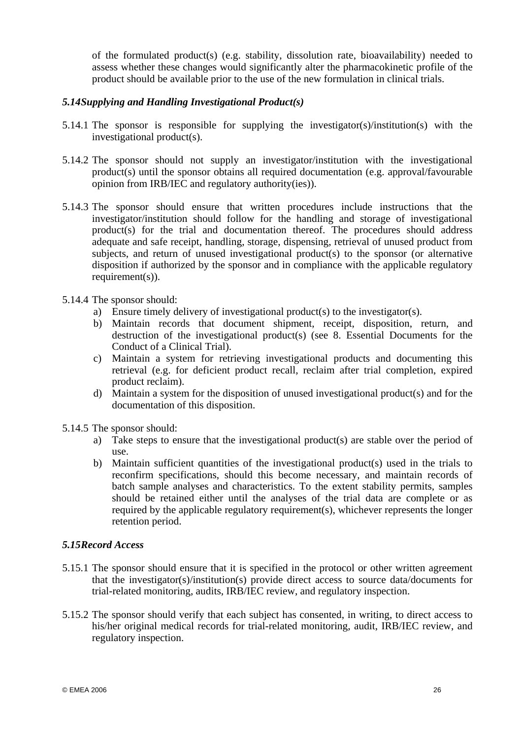<span id="page-25-0"></span>of the formulated product(s) (e.g. stability, dissolution rate, bioavailability) needed to assess whether these changes would significantly alter the pharmacokinetic profile of the product should be available prior to the use of the new formulation in clinical trials.

### *5.14 Supplying and Handling Investigational Product(s)*

- 5.14.1 The sponsor is responsible for supplying the investigator(s)/institution(s) with the investigational product(s).
- 5.14.2 The sponsor should not supply an investigator/institution with the investigational product(s) until the sponsor obtains all required documentation (e.g. approval/favourable opinion from IRB/IEC and regulatory authority(ies)).
- 5.14.3 The sponsor should ensure that written procedures include instructions that the investigator/institution should follow for the handling and storage of investigational product(s) for the trial and documentation thereof. The procedures should address adequate and safe receipt, handling, storage, dispensing, retrieval of unused product from subjects, and return of unused investigational product(s) to the sponsor (or alternative disposition if authorized by the sponsor and in compliance with the applicable regulatory requirement(s)).
- 5.14.4 The sponsor should:
	- a) Ensure timely delivery of investigational product(s) to the investigator(s).
	- b) Maintain records that document shipment, receipt, disposition, return, and destruction of the investigational product(s) (see 8. Essential Documents for the Conduct of a Clinical Trial).
	- c) Maintain a system for retrieving investigational products and documenting this retrieval (e.g. for deficient product recall, reclaim after trial completion, expired product reclaim).
	- d) Maintain a system for the disposition of unused investigational product(s) and for the documentation of this disposition.
- 5.14.5 The sponsor should:
	- a) Take steps to ensure that the investigational product(s) are stable over the period of use.
	- b) Maintain sufficient quantities of the investigational product(s) used in the trials to reconfirm specifications, should this become necessary, and maintain records of batch sample analyses and characteristics. To the extent stability permits, samples should be retained either until the analyses of the trial data are complete or as required by the applicable regulatory requirement(s), whichever represents the longer retention period.

### *5.15 Record Access*

- 5.15.1 The sponsor should ensure that it is specified in the protocol or other written agreement that the investigator(s)/institution(s) provide direct access to source data/documents for trial-related monitoring, audits, IRB/IEC review, and regulatory inspection.
- 5.15.2 The sponsor should verify that each subject has consented, in writing, to direct access to his/her original medical records for trial-related monitoring, audit, IRB/IEC review, and regulatory inspection.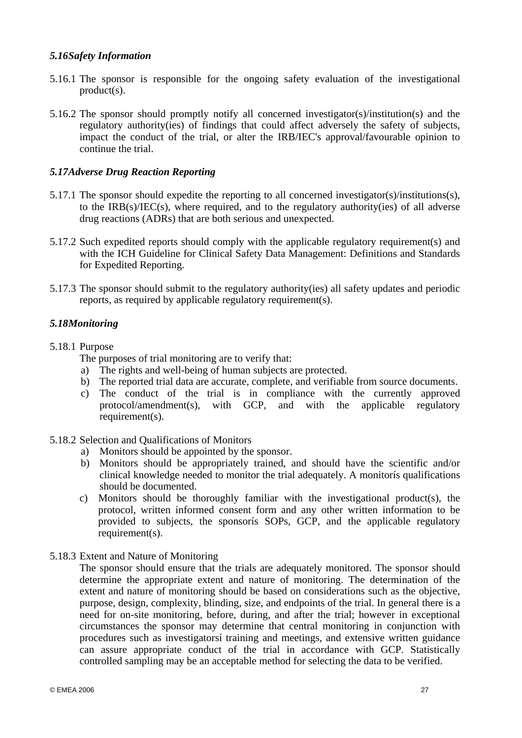### <span id="page-26-0"></span>*5.16 Safety Information*

- 5.16.1 The sponsor is responsible for the ongoing safety evaluation of the investigational product(s).
- 5.16.2 The sponsor should promptly notify all concerned investigator(s)/institution(s) and the regulatory authority(ies) of findings that could affect adversely the safety of subjects, impact the conduct of the trial, or alter the IRB/IEC's approval/favourable opinion to continue the trial.

## *5.17 Adverse Drug Reaction Reporting*

- 5.17.1 The sponsor should expedite the reporting to all concerned investigator(s)/institutions(s), to the IRB(s)/IEC(s), where required, and to the regulatory authority(ies) of all adverse drug reactions (ADRs) that are both serious and unexpected.
- 5.17.2 Such expedited reports should comply with the applicable regulatory requirement(s) and with the ICH Guideline for Clinical Safety Data Management: Definitions and Standards for Expedited Reporting.
- 5.17.3 The sponsor should submit to the regulatory authority(ies) all safety updates and periodic reports, as required by applicable regulatory requirement(s).

## *5.18 Monitoring*

### 5.18.1 Purpose

The purposes of trial monitoring are to verify that:

- a) The rights and well-being of human subjects are protected.
- b) The reported trial data are accurate, complete, and verifiable from source documents.
- c) The conduct of the trial is in compliance with the currently approved protocol/amendment(s), with GCP, and with the applicable regulatory requirement(s).
- 5.18.2 Selection and Qualifications of Monitors
	- a) Monitors should be appointed by the sponsor.
	- b) Monitors should be appropriately trained, and should have the scientific and/or clinical knowledge needed to monitor the trial adequately. A monitorís qualifications should be documented.
	- c) Monitors should be thoroughly familiar with the investigational product(s), the protocol, written informed consent form and any other written information to be provided to subjects, the sponsorís SOPs, GCP, and the applicable regulatory requirement(s).
- 5.18.3 Extent and Nature of Monitoring

The sponsor should ensure that the trials are adequately monitored. The sponsor should determine the appropriate extent and nature of monitoring. The determination of the extent and nature of monitoring should be based on considerations such as the objective, purpose, design, complexity, blinding, size, and endpoints of the trial. In general there is a need for on-site monitoring, before, during, and after the trial; however in exceptional circumstances the sponsor may determine that central monitoring in conjunction with procedures such as investigatorsí training and meetings, and extensive written guidance can assure appropriate conduct of the trial in accordance with GCP. Statistically controlled sampling may be an acceptable method for selecting the data to be verified.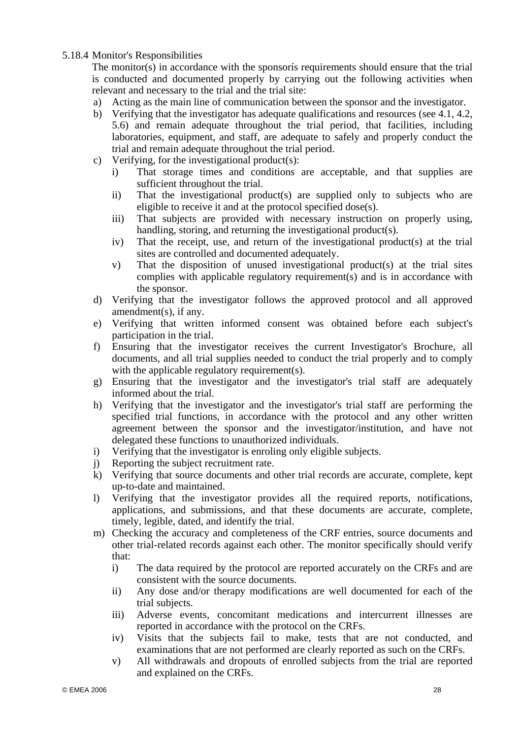#### 5.18.4 Monitor's Responsibilities

The monitor(s) in accordance with the sponsorís requirements should ensure that the trial is conducted and documented properly by carrying out the following activities when relevant and necessary to the trial and the trial site:

- a) Acting as the main line of communication between the sponsor and the investigator.
- b) Verifying that the investigator has adequate qualifications and resources (see 4.1, 4.2, 5.6) and remain adequate throughout the trial period, that facilities, including laboratories, equipment, and staff, are adequate to safely and properly conduct the trial and remain adequate throughout the trial period.
- c) Verifying, for the investigational product(s):
	- i) That storage times and conditions are acceptable, and that supplies are sufficient throughout the trial.
	- ii) That the investigational product(s) are supplied only to subjects who are eligible to receive it and at the protocol specified dose(s).
	- iii) That subjects are provided with necessary instruction on properly using, handling, storing, and returning the investigational product(s).
	- iv) That the receipt, use, and return of the investigational product(s) at the trial sites are controlled and documented adequately.
	- v) That the disposition of unused investigational product(s) at the trial sites complies with applicable regulatory requirement(s) and is in accordance with the sponsor.
- d) Verifying that the investigator follows the approved protocol and all approved amendment(s), if any.
- e) Verifying that written informed consent was obtained before each subject's participation in the trial.
- f) Ensuring that the investigator receives the current Investigator's Brochure, all documents, and all trial supplies needed to conduct the trial properly and to comply with the applicable regulatory requirement(s).
- g) Ensuring that the investigator and the investigator's trial staff are adequately informed about the trial.
- h) Verifying that the investigator and the investigator's trial staff are performing the specified trial functions, in accordance with the protocol and any other written agreement between the sponsor and the investigator/institution, and have not delegated these functions to unauthorized individuals.
- i) Verifying that the investigator is enroling only eligible subjects.
- j) Reporting the subject recruitment rate.
- k) Verifying that source documents and other trial records are accurate, complete, kept up-to-date and maintained.
- l) Verifying that the investigator provides all the required reports, notifications, applications, and submissions, and that these documents are accurate, complete, timely, legible, dated, and identify the trial.
- m) Checking the accuracy and completeness of the CRF entries, source documents and other trial-related records against each other. The monitor specifically should verify that:
	- i) The data required by the protocol are reported accurately on the CRFs and are consistent with the source documents.
	- ii) Any dose and/or therapy modifications are well documented for each of the trial subjects.
	- iii) Adverse events, concomitant medications and intercurrent illnesses are reported in accordance with the protocol on the CRFs.
	- iv) Visits that the subjects fail to make, tests that are not conducted, and examinations that are not performed are clearly reported as such on the CRFs.
	- v) All withdrawals and dropouts of enrolled subjects from the trial are reported and explained on the CRFs.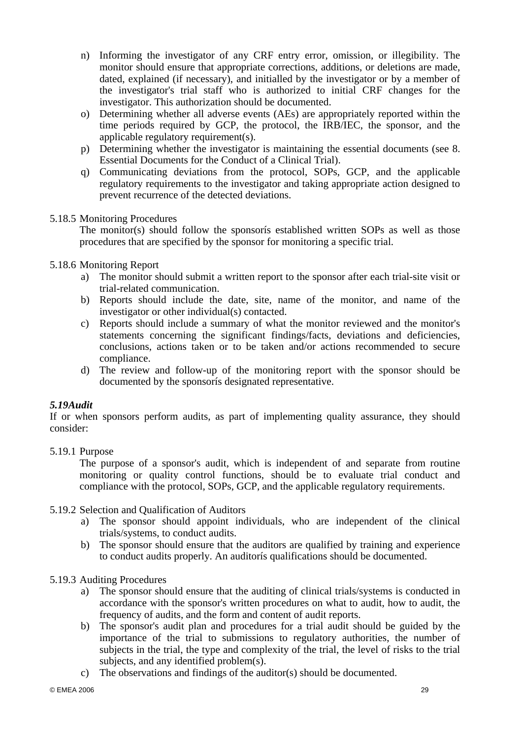- <span id="page-28-0"></span>n) Informing the investigator of any CRF entry error, omission, or illegibility. The monitor should ensure that appropriate corrections, additions, or deletions are made, dated, explained (if necessary), and initialled by the investigator or by a member of the investigator's trial staff who is authorized to initial CRF changes for the investigator. This authorization should be documented.
- o) Determining whether all adverse events (AEs) are appropriately reported within the time periods required by GCP, the protocol, the IRB/IEC, the sponsor, and the applicable regulatory requirement(s).
- p) Determining whether the investigator is maintaining the essential documents (see 8. Essential Documents for the Conduct of a Clinical Trial).
- q) Communicating deviations from the protocol, SOPs, GCP, and the applicable regulatory requirements to the investigator and taking appropriate action designed to prevent recurrence of the detected deviations.

### 5.18.5 Monitoring Procedures

The monitor(s) should follow the sponsorís established written SOPs as well as those procedures that are specified by the sponsor for monitoring a specific trial.

# 5.18.6 Monitoring Report

- a) The monitor should submit a written report to the sponsor after each trial-site visit or trial-related communication.
- b) Reports should include the date, site, name of the monitor, and name of the investigator or other individual(s) contacted.
- c) Reports should include a summary of what the monitor reviewed and the monitor's statements concerning the significant findings/facts, deviations and deficiencies, conclusions, actions taken or to be taken and/or actions recommended to secure compliance.
- d) The review and follow-up of the monitoring report with the sponsor should be documented by the sponsorís designated representative.

### *5.19 Audit*

If or when sponsors perform audits, as part of implementing quality assurance, they should consider:

### 5.19.1 Purpose

The purpose of a sponsor's audit, which is independent of and separate from routine monitoring or quality control functions, should be to evaluate trial conduct and compliance with the protocol, SOPs, GCP, and the applicable regulatory requirements.

### 5.19.2 Selection and Qualification of Auditors

- a) The sponsor should appoint individuals, who are independent of the clinical trials/systems, to conduct audits.
- b) The sponsor should ensure that the auditors are qualified by training and experience to conduct audits properly. An auditorís qualifications should be documented.

# 5.19.3 Auditing Procedures

- a) The sponsor should ensure that the auditing of clinical trials/systems is conducted in accordance with the sponsor's written procedures on what to audit, how to audit, the frequency of audits, and the form and content of audit reports.
- b) The sponsor's audit plan and procedures for a trial audit should be guided by the importance of the trial to submissions to regulatory authorities, the number of subjects in the trial, the type and complexity of the trial, the level of risks to the trial subjects, and any identified problem(s).
- c) The observations and findings of the auditor(s) should be documented.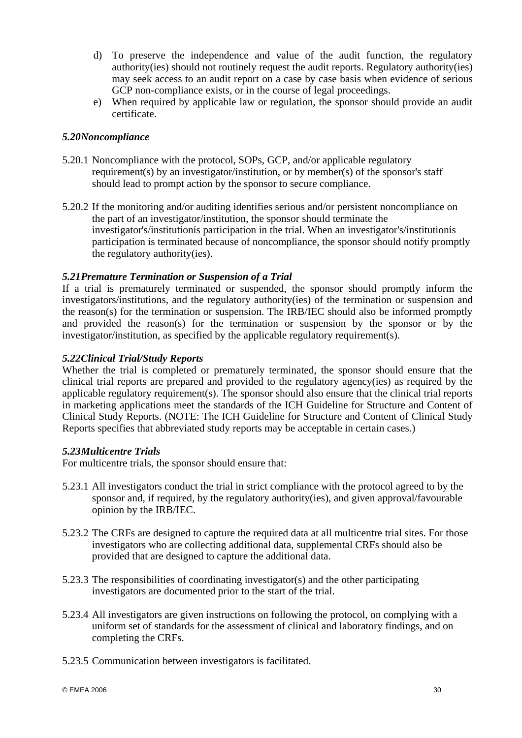- <span id="page-29-0"></span>d) To preserve the independence and value of the audit function, the regulatory authority(ies) should not routinely request the audit reports. Regulatory authority(ies) may seek access to an audit report on a case by case basis when evidence of serious GCP non-compliance exists, or in the course of legal proceedings.
- e) When required by applicable law or regulation, the sponsor should provide an audit certificate.

## *5.20 Noncompliance*

- 5.20.1 Noncompliance with the protocol, SOPs, GCP, and/or applicable regulatory requirement(s) by an investigator/institution, or by member(s) of the sponsor's staff should lead to prompt action by the sponsor to secure compliance.
- 5.20.2 If the monitoring and/or auditing identifies serious and/or persistent noncompliance on the part of an investigator/institution, the sponsor should terminate the investigator's/institutionís participation in the trial. When an investigator's/institutionís participation is terminated because of noncompliance, the sponsor should notify promptly the regulatory authority(ies).

### *5.21 Premature Termination or Suspension of a Trial*

If a trial is prematurely terminated or suspended, the sponsor should promptly inform the investigators/institutions, and the regulatory authority(ies) of the termination or suspension and the reason(s) for the termination or suspension. The IRB/IEC should also be informed promptly and provided the reason(s) for the termination or suspension by the sponsor or by the investigator/institution, as specified by the applicable regulatory requirement(s).

### *5.22 Clinical Trial/Study Reports*

Whether the trial is completed or prematurely terminated, the sponsor should ensure that the clinical trial reports are prepared and provided to the regulatory agency(ies) as required by the applicable regulatory requirement(s). The sponsor should also ensure that the clinical trial reports in marketing applications meet the standards of the ICH Guideline for Structure and Content of Clinical Study Reports. (NOTE: The ICH Guideline for Structure and Content of Clinical Study Reports specifies that abbreviated study reports may be acceptable in certain cases.)

### *5.23 Multicentre Trials*

For multicentre trials, the sponsor should ensure that:

- 5.23.1 All investigators conduct the trial in strict compliance with the protocol agreed to by the sponsor and, if required, by the regulatory authority(ies), and given approval/favourable opinion by the IRB/IEC.
- 5.23.2 The CRFs are designed to capture the required data at all multicentre trial sites. For those investigators who are collecting additional data, supplemental CRFs should also be provided that are designed to capture the additional data.
- 5.23.3 The responsibilities of coordinating investigator(s) and the other participating investigators are documented prior to the start of the trial.
- 5.23.4 All investigators are given instructions on following the protocol, on complying with a uniform set of standards for the assessment of clinical and laboratory findings, and on completing the CRFs.
- 5.23.5 Communication between investigators is facilitated.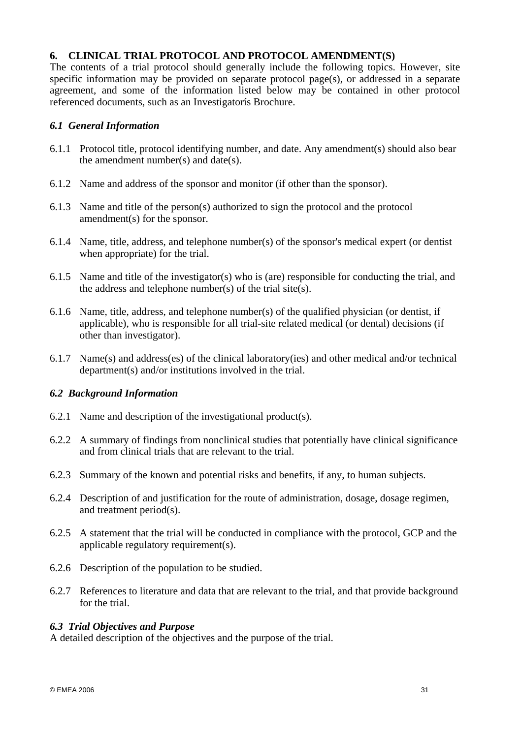### <span id="page-30-0"></span>**6. CLINICAL TRIAL PROTOCOL AND PROTOCOL AMENDMENT(S)**

The contents of a trial protocol should generally include the following topics. However, site specific information may be provided on separate protocol page(s), or addressed in a separate agreement, and some of the information listed below may be contained in other protocol referenced documents, such as an Investigatorís Brochure.

### *6.1 General Information*

- 6.1.1 Protocol title, protocol identifying number, and date. Any amendment(s) should also bear the amendment number(s) and date(s).
- 6.1.2 Name and address of the sponsor and monitor (if other than the sponsor).
- 6.1.3 Name and title of the person(s) authorized to sign the protocol and the protocol amendment(s) for the sponsor.
- 6.1.4 Name, title, address, and telephone number(s) of the sponsor's medical expert (or dentist when appropriate) for the trial.
- 6.1.5 Name and title of the investigator(s) who is (are) responsible for conducting the trial, and the address and telephone number(s) of the trial site(s).
- 6.1.6 Name, title, address, and telephone number(s) of the qualified physician (or dentist, if applicable), who is responsible for all trial-site related medical (or dental) decisions (if other than investigator).
- 6.1.7 Name(s) and address(es) of the clinical laboratory(ies) and other medical and/or technical department(s) and/or institutions involved in the trial.

### *6.2 Background Information*

- 6.2.1 Name and description of the investigational product(s).
- 6.2.2 A summary of findings from nonclinical studies that potentially have clinical significance and from clinical trials that are relevant to the trial.
- 6.2.3 Summary of the known and potential risks and benefits, if any, to human subjects.
- 6.2.4 Description of and justification for the route of administration, dosage, dosage regimen, and treatment period(s).
- 6.2.5 A statement that the trial will be conducted in compliance with the protocol, GCP and the applicable regulatory requirement(s).
- 6.2.6 Description of the population to be studied.
- 6.2.7 References to literature and data that are relevant to the trial, and that provide background for the trial.

### *6.3 Trial Objectives and Purpose*

A detailed description of the objectives and the purpose of the trial.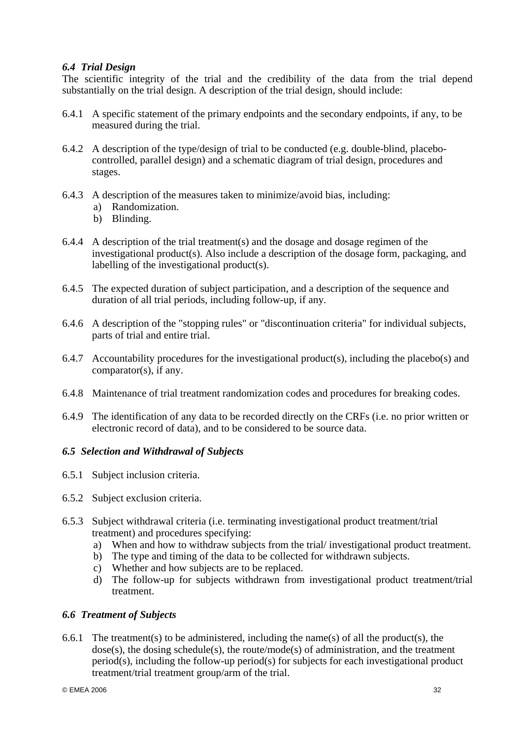# <span id="page-31-0"></span>*6.4 Trial Design*

The scientific integrity of the trial and the credibility of the data from the trial depend substantially on the trial design. A description of the trial design, should include:

- 6.4.1 A specific statement of the primary endpoints and the secondary endpoints, if any, to be measured during the trial.
- 6.4.2 A description of the type/design of trial to be conducted (e.g. double-blind, placebocontrolled, parallel design) and a schematic diagram of trial design, procedures and stages.
- 6.4.3 A description of the measures taken to minimize/avoid bias, including:
	- a) Randomization.
	- b) Blinding.
- 6.4.4 A description of the trial treatment(s) and the dosage and dosage regimen of the investigational product(s). Also include a description of the dosage form, packaging, and labelling of the investigational product(s).
- 6.4.5 The expected duration of subject participation, and a description of the sequence and duration of all trial periods, including follow-up, if any.
- 6.4.6 A description of the "stopping rules" or "discontinuation criteria" for individual subjects, parts of trial and entire trial.
- 6.4.7 Accountability procedures for the investigational product(s), including the placebo(s) and comparator(s), if any.
- 6.4.8 Maintenance of trial treatment randomization codes and procedures for breaking codes.
- 6.4.9 The identification of any data to be recorded directly on the CRFs (i.e. no prior written or electronic record of data), and to be considered to be source data.

### *6.5 Selection and Withdrawal of Subjects*

- 6.5.1 Subject inclusion criteria.
- 6.5.2 Subject exclusion criteria.
- 6.5.3 Subject withdrawal criteria (i.e. terminating investigational product treatment/trial treatment) and procedures specifying:
	- a) When and how to withdraw subjects from the trial/ investigational product treatment.
	- b) The type and timing of the data to be collected for withdrawn subjects.
	- c) Whether and how subjects are to be replaced.
	- d) The follow-up for subjects withdrawn from investigational product treatment/trial treatment.

### *6.6 Treatment of Subjects*

6.6.1 The treatment(s) to be administered, including the name(s) of all the product(s), the  $dose(s)$ , the dosing schedule(s), the route/mode(s) of administration, and the treatment period(s), including the follow-up period(s) for subjects for each investigational product treatment/trial treatment group/arm of the trial.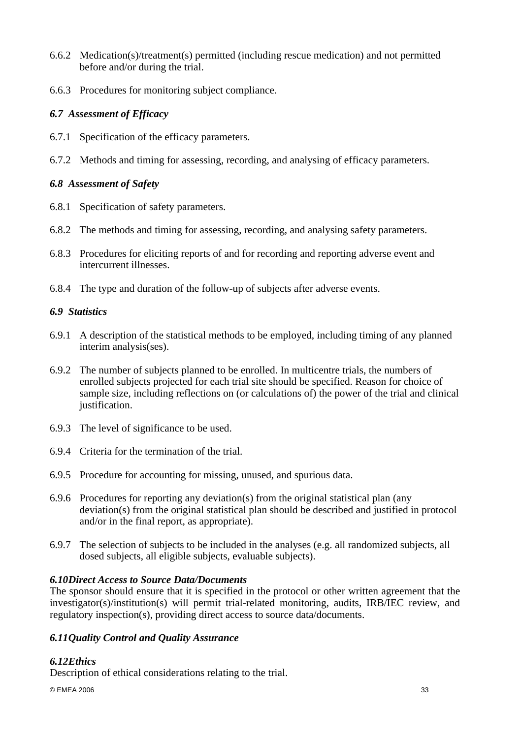- <span id="page-32-0"></span>6.6.2 Medication(s)/treatment(s) permitted (including rescue medication) and not permitted before and/or during the trial.
- 6.6.3 Procedures for monitoring subject compliance.

# *6.7 Assessment of Efficacy*

- 6.7.1 Specification of the efficacy parameters.
- 6.7.2 Methods and timing for assessing, recording, and analysing of efficacy parameters.

## *6.8 Assessment of Safety*

- 6.8.1 Specification of safety parameters.
- 6.8.2 The methods and timing for assessing, recording, and analysing safety parameters.
- 6.8.3 Procedures for eliciting reports of and for recording and reporting adverse event and intercurrent illnesses.
- 6.8.4 The type and duration of the follow-up of subjects after adverse events.

### *6.9 Statistics*

- 6.9.1 A description of the statistical methods to be employed, including timing of any planned interim analysis(ses).
- 6.9.2 The number of subjects planned to be enrolled. In multicentre trials, the numbers of enrolled subjects projected for each trial site should be specified. Reason for choice of sample size, including reflections on (or calculations of) the power of the trial and clinical justification.
- 6.9.3 The level of significance to be used.
- 6.9.4 Criteria for the termination of the trial.
- 6.9.5 Procedure for accounting for missing, unused, and spurious data.
- 6.9.6 Procedures for reporting any deviation(s) from the original statistical plan (any deviation(s) from the original statistical plan should be described and justified in protocol and/or in the final report, as appropriate).
- 6.9.7 The selection of subjects to be included in the analyses (e.g. all randomized subjects, all dosed subjects, all eligible subjects, evaluable subjects).

### *6.10 Direct Access to Source Data/Documents*

The sponsor should ensure that it is specified in the protocol or other written agreement that the investigator(s)/institution(s) will permit trial-related monitoring, audits, IRB/IEC review, and regulatory inspection(s), providing direct access to source data/documents.

# *6.11 Quality Control and Quality Assurance*

### *6.12 Ethics*

Description of ethical considerations relating to the trial.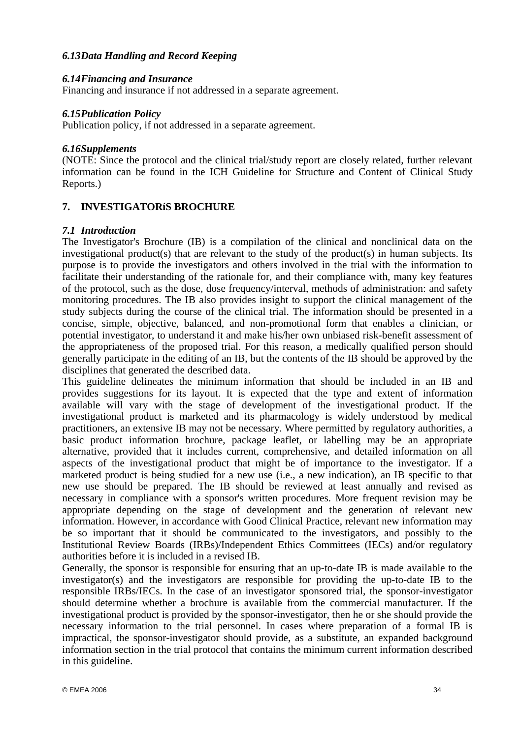## <span id="page-33-0"></span>*6.13 Data Handling and Record Keeping*

### *6.14 Financing and Insurance*

Financing and insurance if not addressed in a separate agreement.

#### *6.15 Publication Policy*

Publication policy, if not addressed in a separate agreement.

#### *6.16 Supplements*

(NOTE: Since the protocol and the clinical trial/study report are closely related, further relevant information can be found in the ICH Guideline for Structure and Content of Clinical Study Reports.)

### **7. INVESTIGATORíS BROCHURE**

#### *7.1 Introduction*

The Investigator's Brochure (IB) is a compilation of the clinical and nonclinical data on the investigational product(s) that are relevant to the study of the product(s) in human subjects. Its purpose is to provide the investigators and others involved in the trial with the information to facilitate their understanding of the rationale for, and their compliance with, many key features of the protocol, such as the dose, dose frequency/interval, methods of administration: and safety monitoring procedures. The IB also provides insight to support the clinical management of the study subjects during the course of the clinical trial. The information should be presented in a concise, simple, objective, balanced, and non-promotional form that enables a clinician, or potential investigator, to understand it and make his/her own unbiased risk-benefit assessment of the appropriateness of the proposed trial. For this reason, a medically qualified person should generally participate in the editing of an IB, but the contents of the IB should be approved by the disciplines that generated the described data.

This guideline delineates the minimum information that should be included in an IB and provides suggestions for its layout. It is expected that the type and extent of information available will vary with the stage of development of the investigational product. If the investigational product is marketed and its pharmacology is widely understood by medical practitioners, an extensive IB may not be necessary. Where permitted by regulatory authorities, a basic product information brochure, package leaflet, or labelling may be an appropriate alternative, provided that it includes current, comprehensive, and detailed information on all aspects of the investigational product that might be of importance to the investigator. If a marketed product is being studied for a new use (i.e., a new indication), an IB specific to that new use should be prepared. The IB should be reviewed at least annually and revised as necessary in compliance with a sponsor's written procedures. More frequent revision may be appropriate depending on the stage of development and the generation of relevant new information. However, in accordance with Good Clinical Practice, relevant new information may be so important that it should be communicated to the investigators, and possibly to the Institutional Review Boards (IRBs)/Independent Ethics Committees (IECs) and/or regulatory authorities before it is included in a revised IB.

Generally, the sponsor is responsible for ensuring that an up-to-date IB is made available to the investigator(s) and the investigators are responsible for providing the up-to-date IB to the responsible IRBs/IECs. In the case of an investigator sponsored trial, the sponsor-investigator should determine whether a brochure is available from the commercial manufacturer. If the investigational product is provided by the sponsor-investigator, then he or she should provide the necessary information to the trial personnel. In cases where preparation of a formal IB is impractical, the sponsor-investigator should provide, as a substitute, an expanded background information section in the trial protocol that contains the minimum current information described in this guideline.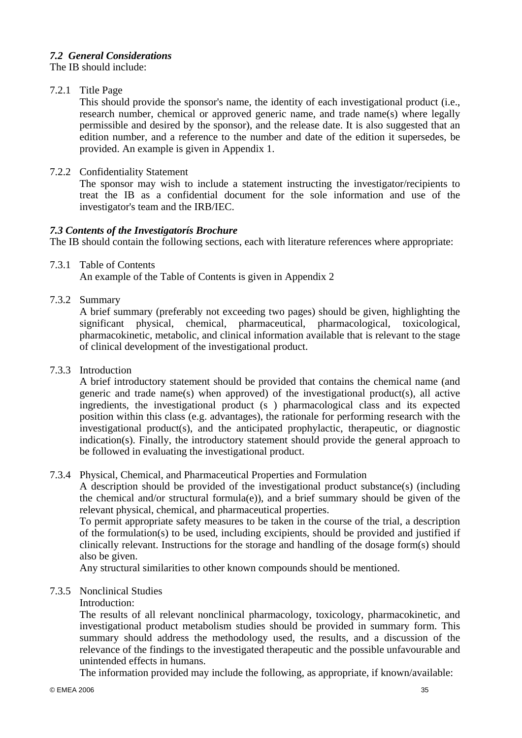# <span id="page-34-0"></span>*7.2 General Considerations*

The IB should include:

## 7.2.1 Title Page

This should provide the sponsor's name, the identity of each investigational product (i.e., research number, chemical or approved generic name, and trade name(s) where legally permissible and desired by the sponsor), and the release date. It is also suggested that an edition number, and a reference to the number and date of the edition it supersedes, be provided. An example is given in Appendix 1.

7.2.2 Confidentiality Statement

The sponsor may wish to include a statement instructing the investigator/recipients to treat the IB as a confidential document for the sole information and use of the investigator's team and the IRB/IEC.

## *7.3 Contents of the Investigatorís Brochure*

The IB should contain the following sections, each with literature references where appropriate:

7.3.1 Table of Contents

An example of the Table of Contents is given in Appendix 2

7.3.2 Summary

A brief summary (preferably not exceeding two pages) should be given, highlighting the significant physical, chemical, pharmaceutical, pharmacological, toxicological, pharmacokinetic, metabolic, and clinical information available that is relevant to the stage of clinical development of the investigational product.

7.3.3 Introduction

A brief introductory statement should be provided that contains the chemical name (and generic and trade name(s) when approved) of the investigational product(s), all active ingredients, the investigational product (s ) pharmacological class and its expected position within this class (e.g. advantages), the rationale for performing research with the investigational product(s), and the anticipated prophylactic, therapeutic, or diagnostic indication(s). Finally, the introductory statement should provide the general approach to be followed in evaluating the investigational product.

# 7.3.4 Physical, Chemical, and Pharmaceutical Properties and Formulation

A description should be provided of the investigational product substance(s) (including the chemical and/or structural formula(e)), and a brief summary should be given of the relevant physical, chemical, and pharmaceutical properties.

To permit appropriate safety measures to be taken in the course of the trial, a description of the formulation(s) to be used, including excipients, should be provided and justified if clinically relevant. Instructions for the storage and handling of the dosage form(s) should also be given.

Any structural similarities to other known compounds should be mentioned.

7.3.5 Nonclinical Studies

Introduction:

The results of all relevant nonclinical pharmacology, toxicology, pharmacokinetic, and investigational product metabolism studies should be provided in summary form. This summary should address the methodology used, the results, and a discussion of the relevance of the findings to the investigated therapeutic and the possible unfavourable and unintended effects in humans.

The information provided may include the following, as appropriate, if known/available: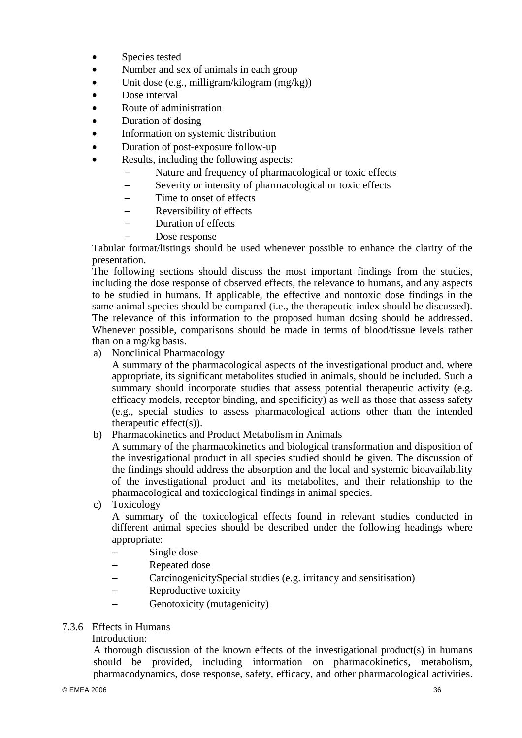- Species tested
- Number and sex of animals in each group
- Unit dose (e.g., milligram/kilogram (mg/kg))
- Dose interval
- Route of administration
- Duration of dosing
- Information on systemic distribution
- Duration of post-exposure follow-up
- Results, including the following aspects:
	- − Nature and frequency of pharmacological or toxic effects
	- − Severity or intensity of pharmacological or toxic effects
	- − Time to onset of effects
	- − Reversibility of effects
	- Duration of effects
	- Dose response

Tabular format/listings should be used whenever possible to enhance the clarity of the presentation.

The following sections should discuss the most important findings from the studies, including the dose response of observed effects, the relevance to humans, and any aspects to be studied in humans. If applicable, the effective and nontoxic dose findings in the same animal species should be compared (i.e., the therapeutic index should be discussed). The relevance of this information to the proposed human dosing should be addressed. Whenever possible, comparisons should be made in terms of blood/tissue levels rather than on a mg/kg basis.

a) Nonclinical Pharmacology

A summary of the pharmacological aspects of the investigational product and, where appropriate, its significant metabolites studied in animals, should be included. Such a summary should incorporate studies that assess potential therapeutic activity (e.g. efficacy models, receptor binding, and specificity) as well as those that assess safety (e.g., special studies to assess pharmacological actions other than the intended therapeutic effect(s)).

b) Pharmacokinetics and Product Metabolism in Animals

A summary of the pharmacokinetics and biological transformation and disposition of the investigational product in all species studied should be given. The discussion of the findings should address the absorption and the local and systemic bioavailability of the investigational product and its metabolites, and their relationship to the pharmacological and toxicological findings in animal species.

c) Toxicology

A summary of the toxicological effects found in relevant studies conducted in different animal species should be described under the following headings where appropriate:

- − Single dose
- − Repeated dose
- − CarcinogenicitySpecial studies (e.g. irritancy and sensitisation)
- Reproductive toxicity
- − Genotoxicity (mutagenicity)

# 7.3.6 Effects in Humans

Introduction:

A thorough discussion of the known effects of the investigational product(s) in humans should be provided, including information on pharmacokinetics, metabolism, pharmacodynamics, dose response, safety, efficacy, and other pharmacological activities.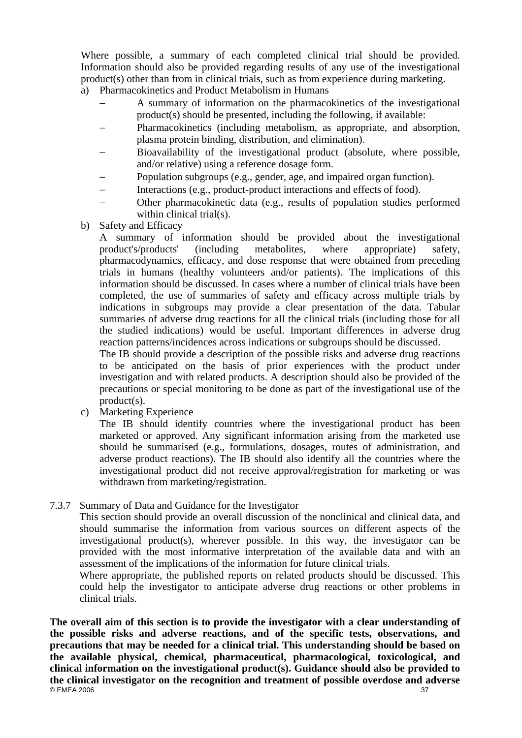Where possible, a summary of each completed clinical trial should be provided. Information should also be provided regarding results of any use of the investigational product(s) other than from in clinical trials, such as from experience during marketing.

a) Pharmacokinetics and Product Metabolism in Humans

- A summary of information on the pharmacokinetics of the investigational product(s) should be presented, including the following, if available:
- − Pharmacokinetics (including metabolism, as appropriate, and absorption, plasma protein binding, distribution, and elimination).
- Bioavailability of the investigational product (absolute, where possible, and/or relative) using a reference dosage form.
- Population subgroups (e.g., gender, age, and impaired organ function).
- − Interactions (e.g., product-product interactions and effects of food).
- − Other pharmacokinetic data (e.g., results of population studies performed within clinical trial(s).
- b) Safety and Efficacy

A summary of information should be provided about the investigational product's/products' (including metabolites, where appropriate) safety, pharmacodynamics, efficacy, and dose response that were obtained from preceding trials in humans (healthy volunteers and/or patients). The implications of this information should be discussed. In cases where a number of clinical trials have been completed, the use of summaries of safety and efficacy across multiple trials by indications in subgroups may provide a clear presentation of the data. Tabular summaries of adverse drug reactions for all the clinical trials (including those for all the studied indications) would be useful. Important differences in adverse drug reaction patterns/incidences across indications or subgroups should be discussed.

The IB should provide a description of the possible risks and adverse drug reactions to be anticipated on the basis of prior experiences with the product under investigation and with related products. A description should also be provided of the precautions or special monitoring to be done as part of the investigational use of the product(s).

c) Marketing Experience

The IB should identify countries where the investigational product has been marketed or approved. Any significant information arising from the marketed use should be summarised (e.g., formulations, dosages, routes of administration, and adverse product reactions). The IB should also identify all the countries where the investigational product did not receive approval/registration for marketing or was withdrawn from marketing/registration.

### 7.3.7 Summary of Data and Guidance for the Investigator

This section should provide an overall discussion of the nonclinical and clinical data, and should summarise the information from various sources on different aspects of the investigational product(s), wherever possible. In this way, the investigator can be provided with the most informative interpretation of the available data and with an assessment of the implications of the information for future clinical trials.

Where appropriate, the published reports on related products should be discussed. This could help the investigator to anticipate adverse drug reactions or other problems in clinical trials.

 $\degree$  EMEA 2006 37 **The overall aim of this section is to provide the investigator with a clear understanding of the possible risks and adverse reactions, and of the specific tests, observations, and precautions that may be needed for a clinical trial. This understanding should be based on the available physical, chemical, pharmaceutical, pharmacological, toxicological, and clinical information on the investigational product(s). Guidance should also be provided to the clinical investigator on the recognition and treatment of possible overdose and adverse**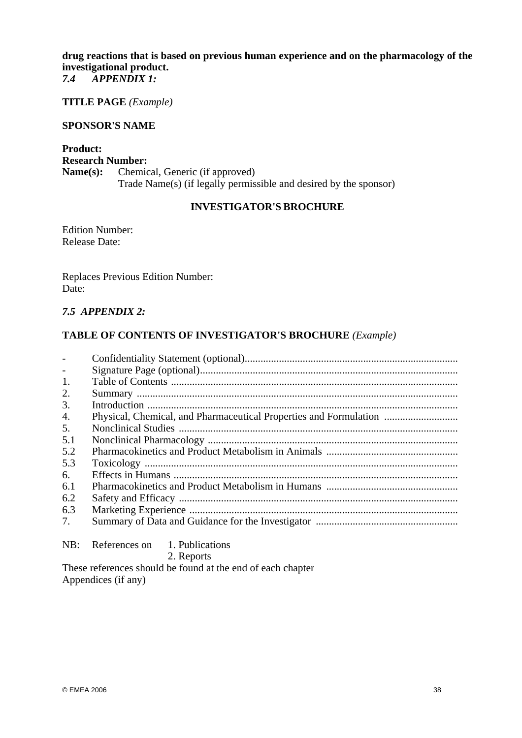<span id="page-37-0"></span>**drug reactions that is based on previous human experience and on the pharmacology of the investigational product.**  *7.4 APPENDIX 1:* 

**TITLE PAGE** *(Example)*

#### **SPONSOR'S NAME**

**Product: Research Number:**  Name(s): Chemical, Generic (if approved) Trade Name(s) (if legally permissible and desired by the sponsor)

# **INVESTIGATOR'S BROCHURE**

Edition Number: Release Date:

Replaces Previous Edition Number: Date:

### *7.5 APPENDIX 2:*

### **TABLE OF CONTENTS OF INVESTIGATOR'S BROCHURE** *(Example)*

| $\overline{\phantom{a}}$         |                                                                   |
|----------------------------------|-------------------------------------------------------------------|
| 1.                               |                                                                   |
| 2.                               |                                                                   |
| 3.                               |                                                                   |
| 4.                               | Physical, Chemical, and Pharmaceutical Properties and Formulation |
| 5.                               |                                                                   |
| 5.1                              |                                                                   |
| 5.2                              |                                                                   |
| 5.3                              |                                                                   |
| 6.                               |                                                                   |
| 6.1                              |                                                                   |
| 6.2                              |                                                                   |
| 6.3                              |                                                                   |
| $7_{\scriptscriptstyle{\ddots}}$ |                                                                   |
|                                  | NB: References on 1. Publications                                 |

2. Reports

These references should be found at the end of each chapter Appendices (if any)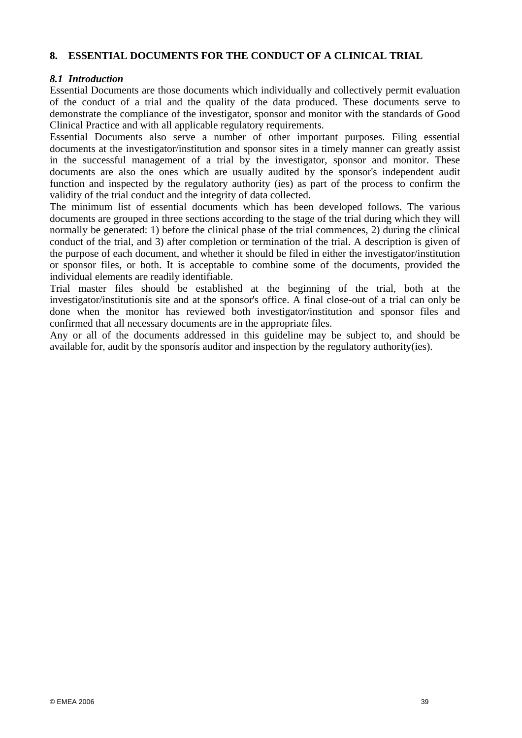## <span id="page-38-0"></span>**8. ESSENTIAL DOCUMENTS FOR THE CONDUCT OF A CLINICAL TRIAL**

### *8.1 Introduction*

Essential Documents are those documents which individually and collectively permit evaluation of the conduct of a trial and the quality of the data produced. These documents serve to demonstrate the compliance of the investigator, sponsor and monitor with the standards of Good Clinical Practice and with all applicable regulatory requirements.

Essential Documents also serve a number of other important purposes. Filing essential documents at the investigator/institution and sponsor sites in a timely manner can greatly assist in the successful management of a trial by the investigator, sponsor and monitor. These documents are also the ones which are usually audited by the sponsor's independent audit function and inspected by the regulatory authority (ies) as part of the process to confirm the validity of the trial conduct and the integrity of data collected.

The minimum list of essential documents which has been developed follows. The various documents are grouped in three sections according to the stage of the trial during which they will normally be generated: 1) before the clinical phase of the trial commences, 2) during the clinical conduct of the trial, and 3) after completion or termination of the trial. A description is given of the purpose of each document, and whether it should be filed in either the investigator/institution or sponsor files, or both. It is acceptable to combine some of the documents, provided the individual elements are readily identifiable.

Trial master files should be established at the beginning of the trial, both at the investigator/institutionís site and at the sponsor's office. A final close-out of a trial can only be done when the monitor has reviewed both investigator/institution and sponsor files and confirmed that all necessary documents are in the appropriate files.

Any or all of the documents addressed in this guideline may be subject to, and should be available for, audit by the sponsorís auditor and inspection by the regulatory authority(ies).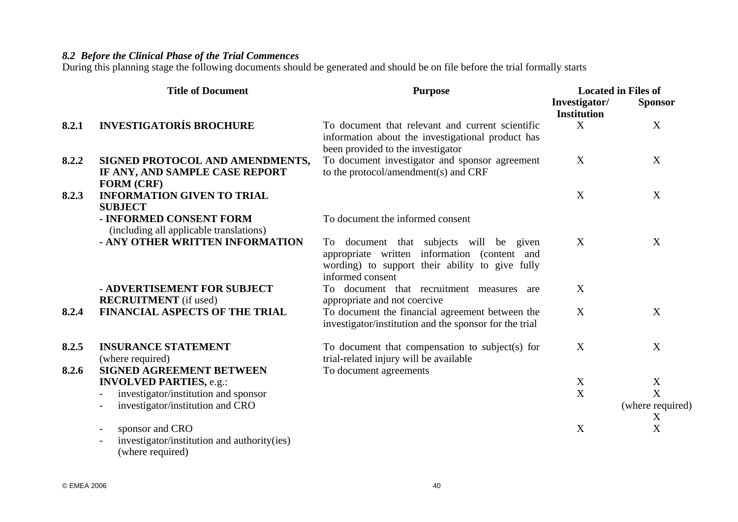#### *8.2 Before the Clinical Phase of the Trial Commences*

During this planning stage the following documents should be generated and should be on file before the trial formally starts

|                | <b>Title of Document</b>                                                               | <b>Purpose</b>                                                                                                                                                 |                                     | <b>Located in Files of</b> |
|----------------|----------------------------------------------------------------------------------------|----------------------------------------------------------------------------------------------------------------------------------------------------------------|-------------------------------------|----------------------------|
|                |                                                                                        |                                                                                                                                                                | Investigator/<br><b>Institution</b> | <b>Sponsor</b>             |
| 8.2.1          | <b>INVESTIGATORÍS BROCHURE</b>                                                         | To document that relevant and current scientific<br>information about the investigational product has<br>been provided to the investigator                     | $\mathbf{X}$                        | X                          |
| 8.2.2          | SIGNED PROTOCOL AND AMENDMENTS,<br>IF ANY, AND SAMPLE CASE REPORT<br><b>FORM (CRF)</b> | To document investigator and sponsor agreement<br>to the protocol/amendment(s) and CRF                                                                         | X                                   | X                          |
| 8.2.3          | <b>INFORMATION GIVEN TO TRIAL</b><br><b>SUBJECT</b>                                    |                                                                                                                                                                | X                                   | $\mathbf X$                |
|                | - INFORMED CONSENT FORM<br>(including all applicable translations)                     | To document the informed consent                                                                                                                               |                                     |                            |
|                | - ANY OTHER WRITTEN INFORMATION                                                        | To document that subjects will be given<br>appropriate written information (content and<br>wording) to support their ability to give fully<br>informed consent | X                                   | X                          |
|                | - ADVERTISEMENT FOR SUBJECT<br><b>RECRUITMENT</b> (if used)                            | To document that recruitment measures are<br>appropriate and not coercive                                                                                      | X                                   |                            |
| 8.2.4          | FINANCIAL ASPECTS OF THE TRIAL                                                         | To document the financial agreement between the<br>investigator/institution and the sponsor for the trial                                                      | X                                   | X                          |
| 8.2.5<br>8.2.6 | <b>INSURANCE STATEMENT</b><br>(where required)<br><b>SIGNED AGREEMENT BETWEEN</b>      | To document that compensation to subject(s) for<br>trial-related injury will be available<br>To document agreements                                            | X                                   | X                          |
|                | <b>INVOLVED PARTIES, e.g.:</b>                                                         |                                                                                                                                                                | X                                   | X                          |
|                | investigator/institution and sponsor                                                   |                                                                                                                                                                | X                                   | X                          |
|                | investigator/institution and CRO                                                       |                                                                                                                                                                |                                     | (where required)           |
|                |                                                                                        |                                                                                                                                                                |                                     | X                          |
|                | sponsor and CRO<br>investigator/institution and authority(ies)                         |                                                                                                                                                                | X                                   | X                          |

<span id="page-39-0"></span>(where required)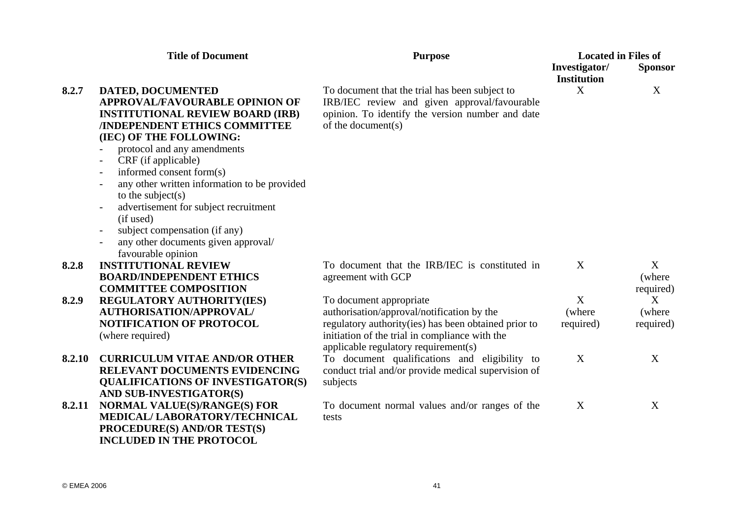|        | <b>Title of Document</b>                                                                                                                                                                                                                                                                                                                                                                                                                                                                                                                                         | <b>Purpose</b>                                                                                                                                                                                                          | <b>Located in Files of</b><br>Investigator/<br><b>Institution</b> | <b>Sponsor</b>            |
|--------|------------------------------------------------------------------------------------------------------------------------------------------------------------------------------------------------------------------------------------------------------------------------------------------------------------------------------------------------------------------------------------------------------------------------------------------------------------------------------------------------------------------------------------------------------------------|-------------------------------------------------------------------------------------------------------------------------------------------------------------------------------------------------------------------------|-------------------------------------------------------------------|---------------------------|
| 8.2.7  | DATED, DOCUMENTED<br><b>APPROVAL/FAVOURABLE OPINION OF</b><br><b>INSTITUTIONAL REVIEW BOARD (IRB)</b><br><b>/INDEPENDENT ETHICS COMMITTEE</b><br>(IEC) OF THE FOLLOWING:<br>protocol and any amendments<br>CRF (if applicable)<br>informed consent form(s)<br>$\qquad \qquad -$<br>any other written information to be provided<br>$\overline{\phantom{a}}$<br>to the subject(s)<br>advertisement for subject recruitment<br>(if used)<br>subject compensation (if any)<br>$\overline{\phantom{a}}$<br>any other documents given approval/<br>favourable opinion | To document that the trial has been subject to<br>IRB/IEC review and given approval/favourable<br>opinion. To identify the version number and date<br>of the document(s)                                                | X                                                                 | X                         |
| 8.2.8  | <b>INSTITUTIONAL REVIEW</b><br><b>BOARD/INDEPENDENT ETHICS</b><br><b>COMMITTEE COMPOSITION</b>                                                                                                                                                                                                                                                                                                                                                                                                                                                                   | To document that the IRB/IEC is constituted in<br>agreement with GCP                                                                                                                                                    | X                                                                 | X<br>(where)<br>required) |
| 8.2.9  | <b>REGULATORY AUTHORITY(IES)</b><br><b>AUTHORISATION/APPROVAL/</b><br><b>NOTIFICATION OF PROTOCOL</b><br>(where required)                                                                                                                                                                                                                                                                                                                                                                                                                                        | To document appropriate<br>authorisation/approval/notification by the<br>regulatory authority(ies) has been obtained prior to<br>initiation of the trial in compliance with the<br>applicable regulatory requirement(s) | X<br>(where<br>required)                                          | X<br>(where<br>required)  |
| 8.2.10 | <b>CURRICULUM VITAE AND/OR OTHER</b><br>RELEVANT DOCUMENTS EVIDENCING<br><b>QUALIFICATIONS OF INVESTIGATOR(S)</b>                                                                                                                                                                                                                                                                                                                                                                                                                                                | To document qualifications and eligibility to<br>conduct trial and/or provide medical supervision of<br>subjects                                                                                                        | X                                                                 | X                         |
| 8.2.11 | AND SUB-INVESTIGATOR(S)<br><b>NORMAL VALUE(S)/RANGE(S) FOR</b><br>MEDICAL/LABORATORY/TECHNICAL<br><b>PROCEDURE(S) AND/OR TEST(S)</b><br><b>INCLUDED IN THE PROTOCOL</b>                                                                                                                                                                                                                                                                                                                                                                                          | To document normal values and/or ranges of the<br>tests                                                                                                                                                                 | X                                                                 | X                         |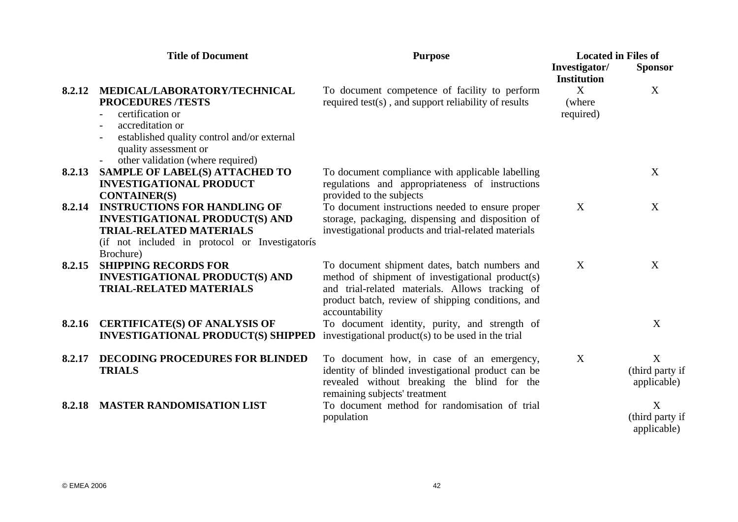|        | <b>Title of Document</b>                                                                                                                                                                                      | <b>Purpose</b>                                                                                                                                                                                                              | <b>Located in Files of</b>          |                                     |
|--------|---------------------------------------------------------------------------------------------------------------------------------------------------------------------------------------------------------------|-----------------------------------------------------------------------------------------------------------------------------------------------------------------------------------------------------------------------------|-------------------------------------|-------------------------------------|
|        |                                                                                                                                                                                                               |                                                                                                                                                                                                                             | Investigator/<br><b>Institution</b> | <b>Sponsor</b>                      |
| 8.2.12 | MEDICAL/LABORATORY/TECHNICAL<br><b>PROCEDURES /TESTS</b><br>certification or<br>accreditation or<br>established quality control and/or external<br>quality assessment or<br>other validation (where required) | To document competence of facility to perform<br>required test(s), and support reliability of results                                                                                                                       | X<br>(where)<br>required)           | X                                   |
| 8.2.13 | SAMPLE OF LABEL(S) ATTACHED TO<br><b>INVESTIGATIONAL PRODUCT</b><br><b>CONTAINER(S)</b>                                                                                                                       | To document compliance with applicable labelling<br>regulations and appropriateness of instructions<br>provided to the subjects                                                                                             |                                     | X                                   |
| 8.2.14 | <b>INSTRUCTIONS FOR HANDLING OF</b><br><b>INVESTIGATIONAL PRODUCT(S) AND</b><br><b>TRIAL-RELATED MATERIALS</b><br>(if not included in protocol or Investigatorís<br>Brochure)                                 | To document instructions needed to ensure proper<br>storage, packaging, dispensing and disposition of<br>investigational products and trial-related materials                                                               | X                                   | X                                   |
| 8.2.15 | <b>SHIPPING RECORDS FOR</b><br><b>INVESTIGATIONAL PRODUCT(S) AND</b><br><b>TRIAL-RELATED MATERIALS</b>                                                                                                        | To document shipment dates, batch numbers and<br>method of shipment of investigational product(s)<br>and trial-related materials. Allows tracking of<br>product batch, review of shipping conditions, and<br>accountability | X                                   | X                                   |
| 8.2.16 | <b>CERTIFICATE(S) OF ANALYSIS OF</b><br><b>INVESTIGATIONAL PRODUCT(S) SHIPPED</b>                                                                                                                             | To document identity, purity, and strength of<br>investigational product(s) to be used in the trial                                                                                                                         |                                     | X                                   |
| 8.2.17 | <b>DECODING PROCEDURES FOR BLINDED</b><br><b>TRIALS</b>                                                                                                                                                       | To document how, in case of an emergency,<br>identity of blinded investigational product can be<br>revealed without breaking the blind for the<br>remaining subjects' treatment                                             | X                                   | X<br>(third party if<br>applicable) |
| 8.2.18 | <b>MASTER RANDOMISATION LIST</b>                                                                                                                                                                              | To document method for randomisation of trial<br>population                                                                                                                                                                 |                                     | X<br>(third party if<br>applicable) |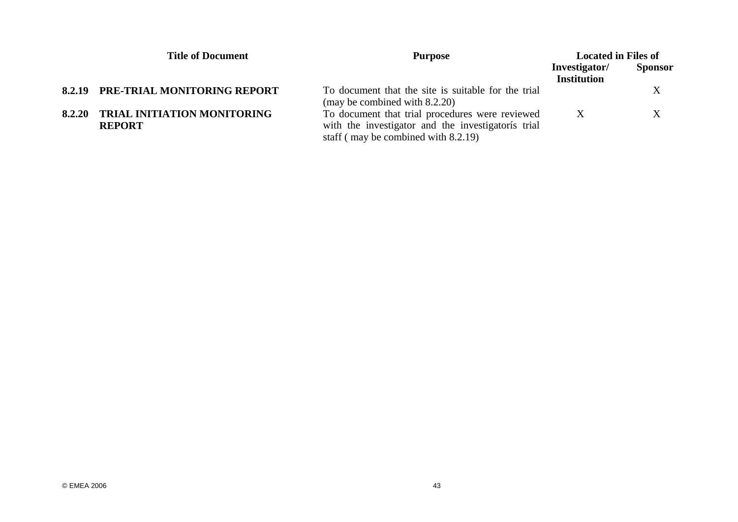|        | <b>Title of Document</b>                            | <b>Purpose</b>                                                                                                                                   | <b>Located in Files of</b>          |                |
|--------|-----------------------------------------------------|--------------------------------------------------------------------------------------------------------------------------------------------------|-------------------------------------|----------------|
|        |                                                     |                                                                                                                                                  | Investigator/<br><b>Institution</b> | <b>Sponsor</b> |
|        | 8.2.19 PRE-TRIAL MONITORING REPORT                  | To document that the site is suitable for the trial<br>(may be combined with $8.2.20$ )                                                          |                                     |                |
| 8.2.20 | <b>TRIAL INITIATION MONITORING</b><br><b>REPORT</b> | To document that trial procedures were reviewed<br>with the investigator and the investigator is trial<br>staff ( $may$ be combined with 8.2.19) |                                     |                |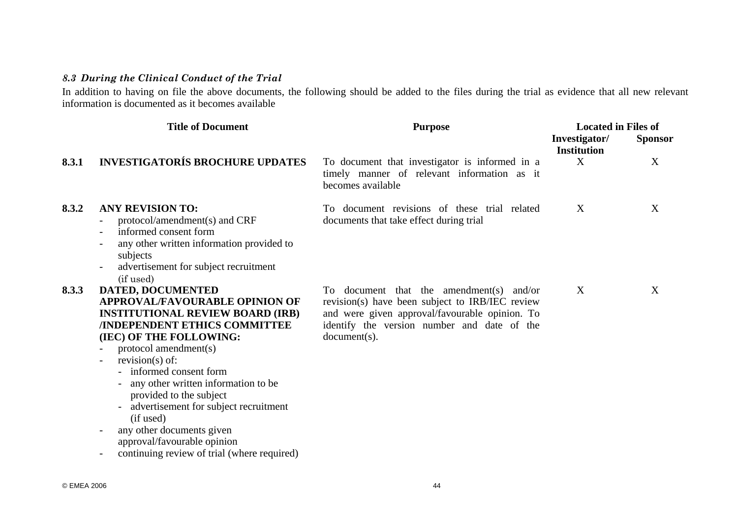# *8.3 During the Clinical Conduct of the Trial*

In addition to having on file the above documents, the following should be added to the files during the trial as evidence that all new relevant information is documented as it becomes available

<span id="page-43-0"></span>

|       | <b>Title of Document</b>                                                                                                                                                                                                                                                                                                                                                                                                                                                             | <b>Purpose</b>                                                                                                                                                                                                  | <b>Located in Files of</b><br>Investigator/<br><b>Institution</b> | <b>Sponsor</b> |
|-------|--------------------------------------------------------------------------------------------------------------------------------------------------------------------------------------------------------------------------------------------------------------------------------------------------------------------------------------------------------------------------------------------------------------------------------------------------------------------------------------|-----------------------------------------------------------------------------------------------------------------------------------------------------------------------------------------------------------------|-------------------------------------------------------------------|----------------|
| 8.3.1 | <b>INVESTIGATORÍS BROCHURE UPDATES</b>                                                                                                                                                                                                                                                                                                                                                                                                                                               | To document that investigator is informed in a<br>timely manner of relevant information as it<br>becomes available                                                                                              | X                                                                 | X              |
| 8.3.2 | <b>ANY REVISION TO:</b><br>protocol/amendment(s) and CRF<br>informed consent form<br>any other written information provided to<br>subjects<br>advertisement for subject recruitment<br>(if used)                                                                                                                                                                                                                                                                                     | To document revisions of these trial related<br>documents that take effect during trial                                                                                                                         | X                                                                 | X              |
| 8.3.3 | DATED, DOCUMENTED<br><b>APPROVAL/FAVOURABLE OPINION OF</b><br><b>INSTITUTIONAL REVIEW BOARD (IRB)</b><br><b>/INDEPENDENT ETHICS COMMITTEE</b><br>(IEC) OF THE FOLLOWING:<br>protocol amendment(s)<br>revision( $s$ ) of:<br>informed consent form<br>any other written information to be<br>provided to the subject<br>advertisement for subject recruitment<br>(if used)<br>any other documents given<br>approval/favourable opinion<br>continuing review of trial (where required) | To document that the amendment(s) and/or<br>revision(s) have been subject to IRB/IEC review<br>and were given approval/favourable opinion. To<br>identify the version number and date of the<br>$document(s)$ . | X                                                                 | X              |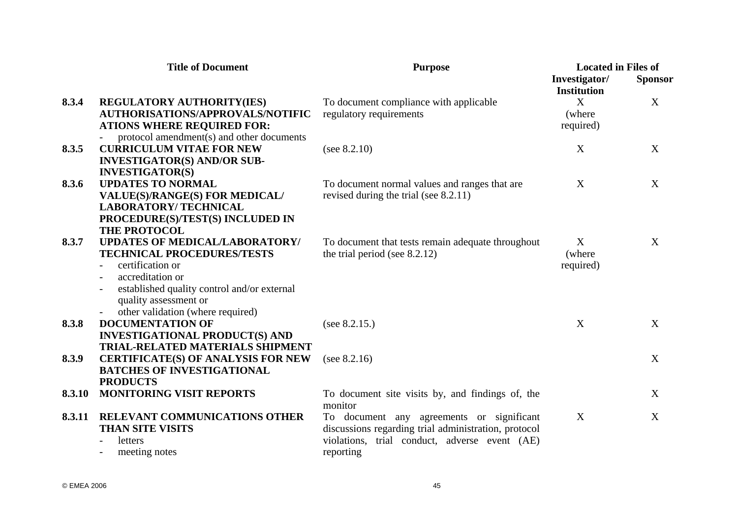|        | <b>Title of Document</b>                    | <b>Purpose</b>                                              | <b>Located in Files of</b>          |                |
|--------|---------------------------------------------|-------------------------------------------------------------|-------------------------------------|----------------|
|        |                                             |                                                             | Investigator/<br><b>Institution</b> | <b>Sponsor</b> |
| 8.3.4  | <b>REGULATORY AUTHORITY(IES)</b>            | To document compliance with applicable                      | X                                   | X              |
|        | <b>AUTHORISATIONS/APPROVALS/NOTIFIC</b>     | regulatory requirements                                     | (where)                             |                |
|        | <b>ATIONS WHERE REQUIRED FOR:</b>           |                                                             | required)                           |                |
|        | protocol amendment(s) and other documents   |                                                             |                                     |                |
| 8.3.5  | <b>CURRICULUM VITAE FOR NEW</b>             | (see $8.2.10$ )                                             | X                                   | X              |
|        | <b>INVESTIGATOR(S) AND/OR SUB-</b>          |                                                             |                                     |                |
|        | <b>INVESTIGATOR(S)</b>                      |                                                             |                                     |                |
| 8.3.6  | <b>UPDATES TO NORMAL</b>                    | To document normal values and ranges that are               | X                                   | X              |
|        | <b>VALUE(S)/RANGE(S) FOR MEDICAL/</b>       | revised during the trial (see 8.2.11)                       |                                     |                |
|        | <b>LABORATORY/ TECHNICAL</b>                |                                                             |                                     |                |
|        | PROCEDURE(S)/TEST(S) INCLUDED IN            |                                                             |                                     |                |
|        | <b>THE PROTOCOL</b>                         |                                                             |                                     |                |
| 8.3.7  | <b>UPDATES OF MEDICAL/LABORATORY/</b>       | To document that tests remain adequate throughout           | X                                   | X              |
|        | <b>TECHNICAL PROCEDURES/TESTS</b>           | the trial period (see $8.2.12$ )                            | (where                              |                |
|        | certification or                            |                                                             | required)                           |                |
|        | accreditation or                            |                                                             |                                     |                |
|        | established quality control and/or external |                                                             |                                     |                |
|        | quality assessment or                       |                                                             |                                     |                |
|        | other validation (where required)           |                                                             |                                     |                |
| 8.3.8  | <b>DOCUMENTATION OF</b>                     | (see $8.2.15$ .)                                            | X                                   | X              |
|        | <b>INVESTIGATIONAL PRODUCT(S) AND</b>       |                                                             |                                     |                |
|        | <b>TRIAL-RELATED MATERIALS SHIPMENT</b>     |                                                             |                                     |                |
| 8.3.9  | <b>CERTIFICATE(S) OF ANALYSIS FOR NEW</b>   | (see $8.2.16$ )                                             |                                     | X              |
|        | <b>BATCHES OF INVESTIGATIONAL</b>           |                                                             |                                     |                |
|        | <b>PRODUCTS</b>                             |                                                             |                                     |                |
| 8.3.10 | <b>MONITORING VISIT REPORTS</b>             | To document site visits by, and findings of, the<br>monitor |                                     | X              |
| 8.3.11 | RELEVANT COMMUNICATIONS OTHER               | To document any agreements or significant                   | X                                   | X              |
|        | <b>THAN SITE VISITS</b>                     | discussions regarding trial administration, protocol        |                                     |                |
|        | letters                                     | violations, trial conduct, adverse event (AE)               |                                     |                |
|        | meeting notes                               | reporting                                                   |                                     |                |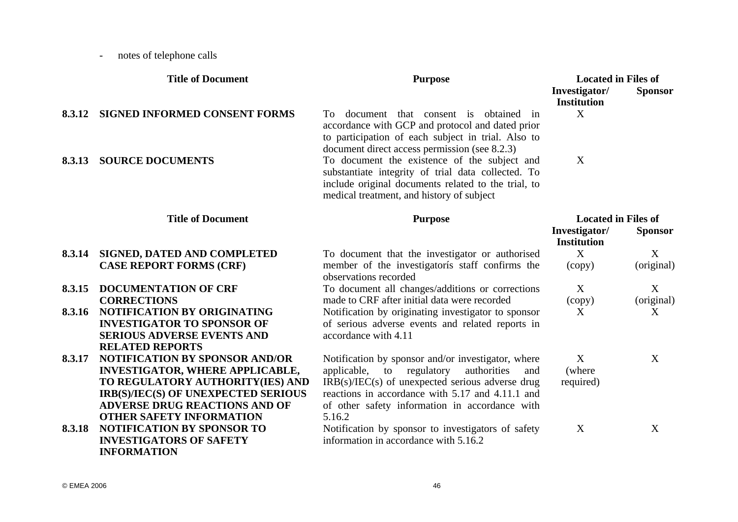## - notes of telephone calls

|                  | <b>Title of Document</b>                                               | <b>Purpose</b>                                                                                                                                                                                                                                                                                                                                                                                                     | <b>Located in Files of</b><br>Investigator/<br><b>Institution</b> | <b>Sponsor</b> |
|------------------|------------------------------------------------------------------------|--------------------------------------------------------------------------------------------------------------------------------------------------------------------------------------------------------------------------------------------------------------------------------------------------------------------------------------------------------------------------------------------------------------------|-------------------------------------------------------------------|----------------|
| 8.3.12<br>8.3.13 | <b>SIGNED INFORMED CONSENT FORMS</b><br><b>SOURCE DOCUMENTS</b>        | document that consent is obtained<br>To<br>1n<br>accordance with GCP and protocol and dated prior<br>to participation of each subject in trial. Also to<br>document direct access permission (see 8.2.3)<br>To document the existence of the subject and<br>substantiate integrity of trial data collected. To<br>include original documents related to the trial, to<br>medical treatment, and history of subject | X<br>X                                                            |                |
|                  | <b>Title of Document</b>                                               | <b>Purpose</b>                                                                                                                                                                                                                                                                                                                                                                                                     | <b>Located in Files of</b><br>Investigator/<br><b>Institution</b> | <b>Sponsor</b> |
| 8.3.14           | SIGNED, DATED AND COMPLETED                                            |                                                                                                                                                                                                                                                                                                                                                                                                                    | X                                                                 | X              |
|                  | <b>CASE REPORT FORMS (CRF)</b>                                         | To document that the investigator or authorised<br>member of the investigatoris staff confirms the<br>observations recorded                                                                                                                                                                                                                                                                                        | (copy)                                                            | (original)     |
| 8.3.15           | <b>DOCUMENTATION OF CRF</b>                                            | To document all changes/additions or corrections                                                                                                                                                                                                                                                                                                                                                                   | X                                                                 | X              |
|                  | <b>CORRECTIONS</b>                                                     | made to CRF after initial data were recorded                                                                                                                                                                                                                                                                                                                                                                       | (copy)                                                            | (original)     |
| 8.3.16           | NOTIFICATION BY ORIGINATING                                            | Notification by originating investigator to sponsor                                                                                                                                                                                                                                                                                                                                                                | X                                                                 | X              |
|                  | <b>INVESTIGATOR TO SPONSOR OF</b><br><b>SERIOUS ADVERSE EVENTS AND</b> | of serious adverse events and related reports in<br>accordance with 4.11                                                                                                                                                                                                                                                                                                                                           |                                                                   |                |
|                  | <b>RELATED REPORTS</b>                                                 |                                                                                                                                                                                                                                                                                                                                                                                                                    |                                                                   |                |
| 8.3.17           | <b>NOTIFICATION BY SPONSOR AND/OR</b>                                  | Notification by sponsor and/or investigator, where                                                                                                                                                                                                                                                                                                                                                                 | X                                                                 | X              |
|                  | <b>INVESTIGATOR, WHERE APPLICABLE,</b>                                 | authorities<br>applicable,<br>to<br>regulatory<br>and                                                                                                                                                                                                                                                                                                                                                              | (where                                                            |                |
|                  | TO REGULATORY AUTHORITY(IES) AND                                       | $IRB(s)/IEC(s)$ of unexpected serious adverse drug                                                                                                                                                                                                                                                                                                                                                                 | required)                                                         |                |
|                  | IRB(S)/IEC(S) OF UNEXPECTED SERIOUS                                    | reactions in accordance with 5.17 and 4.11.1 and                                                                                                                                                                                                                                                                                                                                                                   |                                                                   |                |
|                  | <b>ADVERSE DRUG REACTIONS AND OF</b>                                   | of other safety information in accordance with                                                                                                                                                                                                                                                                                                                                                                     |                                                                   |                |
|                  | <b>OTHER SAFETY INFORMATION</b>                                        | 5.16.2                                                                                                                                                                                                                                                                                                                                                                                                             |                                                                   |                |
| 8.3.18           | <b>NOTIFICATION BY SPONSOR TO</b>                                      | Notification by sponsor to investigators of safety                                                                                                                                                                                                                                                                                                                                                                 | X                                                                 | X              |
|                  | <b>INVESTIGATORS OF SAFETY</b>                                         | information in accordance with 5.16.2                                                                                                                                                                                                                                                                                                                                                                              |                                                                   |                |
|                  | <b>INFORMATION</b>                                                     |                                                                                                                                                                                                                                                                                                                                                                                                                    |                                                                   |                |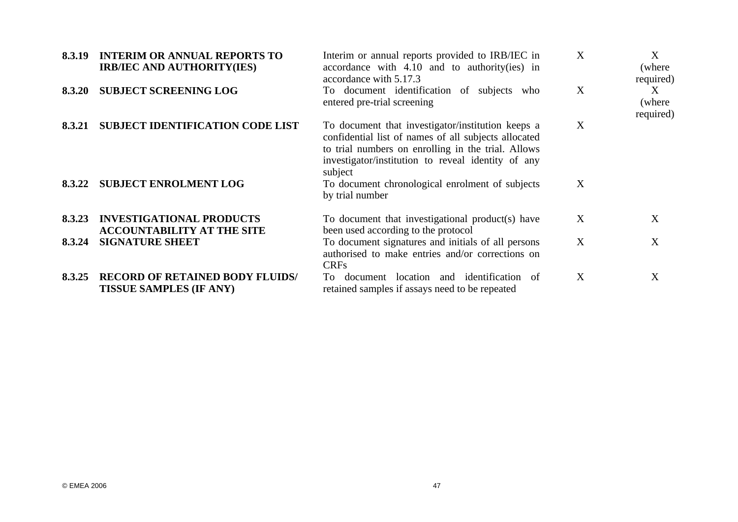| 8.3.19 | <b>INTERIM OR ANNUAL REPORTS TO</b><br><b>IRB/IEC AND AUTHORITY(IES)</b> | Interim or annual reports provided to IRB/IEC in<br>accordance with 4.10 and to authority (ies) in<br>accordance with 5.17.3                                                                                                     | X | X<br>(where<br>required) |
|--------|--------------------------------------------------------------------------|----------------------------------------------------------------------------------------------------------------------------------------------------------------------------------------------------------------------------------|---|--------------------------|
| 8.3.20 | <b>SUBJECT SCREENING LOG</b>                                             | To document identification of subjects who<br>entered pre-trial screening                                                                                                                                                        | X | X<br>(where<br>required) |
| 8.3.21 | <b>SUBJECT IDENTIFICATION CODE LIST</b>                                  | To document that investigator/institution keeps a<br>confidential list of names of all subjects allocated<br>to trial numbers on enrolling in the trial. Allows<br>investigator/institution to reveal identity of any<br>subject | X |                          |
| 8.3.22 | <b>SUBJECT ENROLMENT LOG</b>                                             | To document chronological enrolment of subjects<br>by trial number                                                                                                                                                               | X |                          |
| 8.3.23 | <b>INVESTIGATIONAL PRODUCTS</b><br><b>ACCOUNTABILITY AT THE SITE</b>     | To document that investigational product(s) have<br>been used according to the protocol                                                                                                                                          | X | X                        |
| 8.3.24 | <b>SIGNATURE SHEET</b>                                                   | To document signatures and initials of all persons<br>authorised to make entries and/or corrections on<br><b>CRFs</b>                                                                                                            | X | X                        |
| 8.3.25 | <b>RECORD OF RETAINED BODY FLUIDS/</b><br><b>TISSUE SAMPLES (IF ANY)</b> | To document location and identification of<br>retained samples if assays need to be repeated                                                                                                                                     | X | X                        |